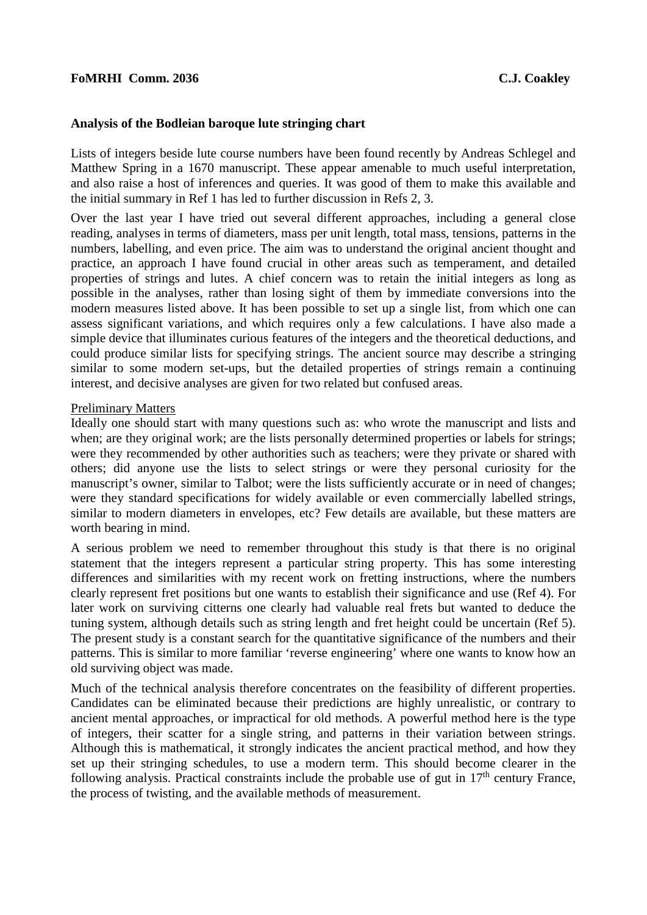### **Analysis of the Bodleian baroque lute stringing chart**

Lists of integers beside lute course numbers have been found recently by Andreas Schlegel and Matthew Spring in a 1670 manuscript. These appear amenable to much useful interpretation, and also raise a host of inferences and queries. It was good of them to make this available and the initial summary in Ref 1 has led to further discussion in Refs 2, 3.

Over the last year I have tried out several different approaches, including a general close reading, analyses in terms of diameters, mass per unit length, total mass, tensions, patterns in the numbers, labelling, and even price. The aim was to understand the original ancient thought and practice, an approach I have found crucial in other areas such as temperament, and detailed properties of strings and lutes. A chief concern was to retain the initial integers as long as possible in the analyses, rather than losing sight of them by immediate conversions into the modern measures listed above. It has been possible to set up a single list, from which one can assess significant variations, and which requires only a few calculations. I have also made a simple device that illuminates curious features of the integers and the theoretical deductions, and could produce similar lists for specifying strings. The ancient source may describe a stringing similar to some modern set-ups, but the detailed properties of strings remain a continuing interest, and decisive analyses are given for two related but confused areas.

#### Preliminary Matters

Ideally one should start with many questions such as: who wrote the manuscript and lists and when; are they original work; are the lists personally determined properties or labels for strings; were they recommended by other authorities such as teachers; were they private or shared with others; did anyone use the lists to select strings or were they personal curiosity for the manuscript's owner, similar to Talbot; were the lists sufficiently accurate or in need of changes; were they standard specifications for widely available or even commercially labelled strings, similar to modern diameters in envelopes, etc? Few details are available, but these matters are worth bearing in mind.

A serious problem we need to remember throughout this study is that there is no original statement that the integers represent a particular string property. This has some interesting differences and similarities with my recent work on fretting instructions, where the numbers clearly represent fret positions but one wants to establish their significance and use (Ref 4). For later work on surviving citterns one clearly had valuable real frets but wanted to deduce the tuning system, although details such as string length and fret height could be uncertain (Ref 5). The present study is a constant search for the quantitative significance of the numbers and their patterns. This is similar to more familiar 'reverse engineering' where one wants to know how an old surviving object was made.

Much of the technical analysis therefore concentrates on the feasibility of different properties. Candidates can be eliminated because their predictions are highly unrealistic, or contrary to ancient mental approaches, or impractical for old methods. A powerful method here is the type of integers, their scatter for a single string, and patterns in their variation between strings. Although this is mathematical, it strongly indicates the ancient practical method, and how they set up their stringing schedules, to use a modern term. This should become clearer in the following analysis. Practical constraints include the probable use of gut in  $17<sup>th</sup>$  century France, the process of twisting, and the available methods of measurement.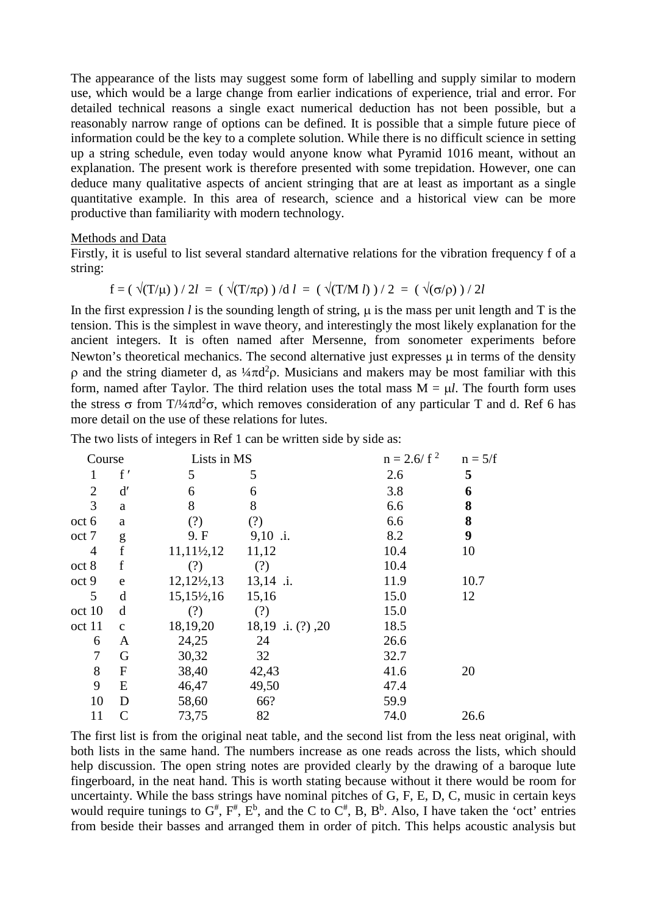The appearance of the lists may suggest some form of labelling and supply similar to modern use, which would be a large change from earlier indications of experience, trial and error. For detailed technical reasons a single exact numerical deduction has not been possible, but a reasonably narrow range of options can be defined. It is possible that a simple future piece of information could be the key to a complete solution. While there is no difficult science in setting up a string schedule, even today would anyone know what Pyramid 1016 meant, without an explanation. The present work is therefore presented with some trepidation. However, one can deduce many qualitative aspects of ancient stringing that are at least as important as a single quantitative example. In this area of research, science and a historical view can be more productive than familiarity with modern technology.

#### Methods and Data

Firstly, it is useful to list several standard alternative relations for the vibration frequency f of a string:

$$
f = (\sqrt{T/\mu}) / 2l = (\sqrt{T/\pi \rho}) / d l = (\sqrt{T/M} l) / 2 = (\sqrt{\sigma/\rho}) / 2l
$$

In the first expression *l* is the sounding length of string,  $\mu$  is the mass per unit length and T is the tension. This is the simplest in wave theory, and interestingly the most likely explanation for the ancient integers. It is often named after Mersenne, from sonometer experiments before Newton's theoretical mechanics. The second alternative just expresses  $\mu$  in terms of the density  $ρ$  and the string diameter d, as  $\frac{1}{4}πd^2ρ$ . Musicians and makers may be most familiar with this form, named after Taylor. The third relation uses the total mass  $M = \mu l$ . The fourth form uses the stress σ from T/¼πd<sup>2</sup>σ, which removes consideration of any particular T and d. Ref 6 has more detail on the use of these relations for lutes.

The two lists of integers in Ref 1 can be written side by side as:

| Course         |                  | Lists in MS             |                           | $n = 2.6/f^2$ | $n = 5/f$ |
|----------------|------------------|-------------------------|---------------------------|---------------|-----------|
| 1              | f'               | 5                       | 5                         | 2.6           | 5         |
| $\overline{2}$ | $\mathbf{d'}$    | 6                       | 6                         | 3.8           | 6         |
| 3              | a                | 8                       | 8                         | 6.6           | 8         |
| oct 6          | a                | (?)                     | (?)                       | 6.6           | 8         |
| oct 7          | g                | 9. F                    | $9,10$ .i.                | 8.2           | 9         |
| 4              | $\mathbf f$      | $11,11\frac{1}{2}$ , 12 | 11,12                     | 10.4          | 10        |
| oct 8          | f                | (?)                     | (?)                       | 10.4          |           |
| oct 9          | e                | $12,12\frac{1}{2},13$   | $13,14$ .i.               | 11.9          | 10.7      |
| 5              | d                | $15,15\frac{1}{2},16$   | 15,16                     | 15.0          | 12        |
| oct 10         | d                | (?)                     | (?)                       | 15.0          |           |
| oct 11         | $\mathbf{C}$     | 18,19,20                | 18,19 $\therefore$ (?),20 | 18.5          |           |
| 6              | A                | 24,25                   | 24                        | 26.6          |           |
| $\tau$         | G                | 30,32                   | 32                        | 32.7          |           |
| $8\,$          | $\boldsymbol{F}$ | 38,40                   | 42,43                     | 41.6          | 20        |
| 9              | E                | 46,47                   | 49,50                     | 47.4          |           |
| 10             | D                | 58,60                   | 66?                       | 59.9          |           |
| 11             | $\mathsf{C}$     | 73,75                   | 82                        | 74.0          | 26.6      |

The first list is from the original neat table, and the second list from the less neat original, with both lists in the same hand. The numbers increase as one reads across the lists, which should help discussion. The open string notes are provided clearly by the drawing of a baroque lute fingerboard, in the neat hand. This is worth stating because without it there would be room for uncertainty. While the bass strings have nominal pitches of G, F, E, D, C, music in certain keys would require tunings to  $G^{\#}$ ,  $F^{\#}$ ,  $E^{\text{b}}$ , and the C to  $C^{\#}$ , B,  $B^{\text{b}}$ . Also, I have taken the 'oct' entries from beside their basses and arranged them in order of pitch. This helps acoustic analysis but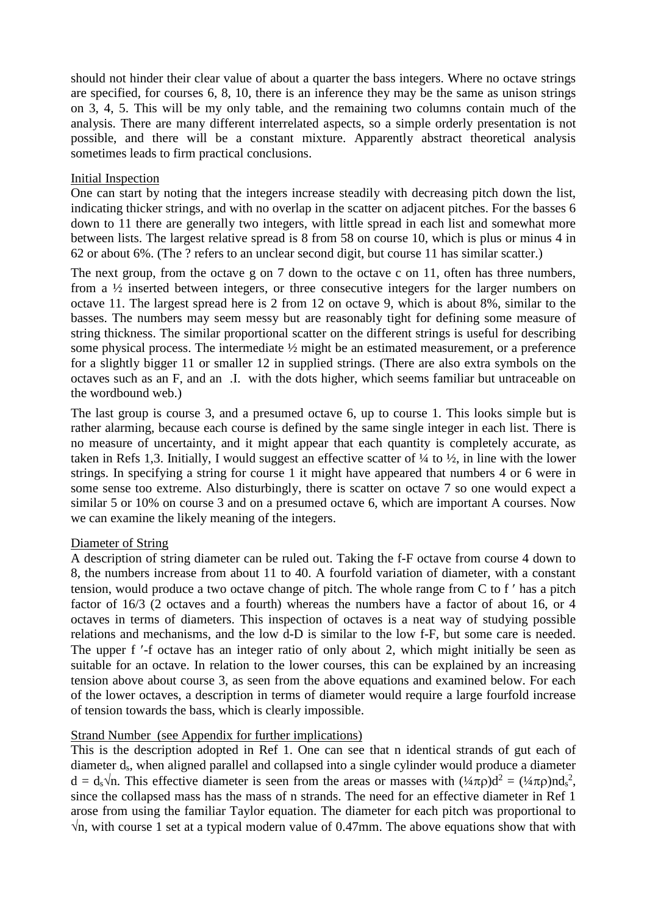should not hinder their clear value of about a quarter the bass integers. Where no octave strings are specified, for courses 6, 8, 10, there is an inference they may be the same as unison strings on 3, 4, 5. This will be my only table, and the remaining two columns contain much of the analysis. There are many different interrelated aspects, so a simple orderly presentation is not possible, and there will be a constant mixture. Apparently abstract theoretical analysis sometimes leads to firm practical conclusions.

# Initial Inspection

One can start by noting that the integers increase steadily with decreasing pitch down the list, indicating thicker strings, and with no overlap in the scatter on adjacent pitches. For the basses 6 down to 11 there are generally two integers, with little spread in each list and somewhat more between lists. The largest relative spread is 8 from 58 on course 10, which is plus or minus 4 in 62 or about 6%. (The ? refers to an unclear second digit, but course 11 has similar scatter.)

The next group, from the octave g on 7 down to the octave c on 11, often has three numbers, from a ½ inserted between integers, or three consecutive integers for the larger numbers on octave 11. The largest spread here is 2 from 12 on octave 9, which is about 8%, similar to the basses. The numbers may seem messy but are reasonably tight for defining some measure of string thickness. The similar proportional scatter on the different strings is useful for describing some physical process. The intermediate ½ might be an estimated measurement, or a preference for a slightly bigger 11 or smaller 12 in supplied strings. (There are also extra symbols on the octaves such as an F, and an .I. with the dots higher, which seems familiar but untraceable on the wordbound web.)

The last group is course 3, and a presumed octave 6, up to course 1. This looks simple but is rather alarming, because each course is defined by the same single integer in each list. There is no measure of uncertainty, and it might appear that each quantity is completely accurate, as taken in Refs 1,3. Initially, I would suggest an effective scatter of  $\frac{1}{4}$  to  $\frac{1}{2}$ , in line with the lower strings. In specifying a string for course 1 it might have appeared that numbers 4 or 6 were in some sense too extreme. Also disturbingly, there is scatter on octave 7 so one would expect a similar 5 or 10% on course 3 and on a presumed octave 6, which are important A courses. Now we can examine the likely meaning of the integers.

# Diameter of String

A description of string diameter can be ruled out. Taking the f-F octave from course 4 down to 8, the numbers increase from about 11 to 40. A fourfold variation of diameter, with a constant tension, would produce a two octave change of pitch. The whole range from C to f ′ has a pitch factor of 16/3 (2 octaves and a fourth) whereas the numbers have a factor of about 16, or 4 octaves in terms of diameters. This inspection of octaves is a neat way of studying possible relations and mechanisms, and the low d-D is similar to the low f-F, but some care is needed. The upper f '-f octave has an integer ratio of only about 2, which might initially be seen as suitable for an octave. In relation to the lower courses, this can be explained by an increasing tension above about course 3, as seen from the above equations and examined below. For each of the lower octaves, a description in terms of diameter would require a large fourfold increase of tension towards the bass, which is clearly impossible.

# Strand Number (see Appendix for further implications)

This is the description adopted in Ref 1. One can see that n identical strands of gut each of diameter ds, when aligned parallel and collapsed into a single cylinder would produce a diameter  $d = d_s \sqrt{n}$ . This effective diameter is seen from the areas or masses with  $(\frac{1}{4}\pi \rho)d^2 = (\frac{1}{4}\pi \rho)nd_s^2$ , since the collapsed mass has the mass of n strands. The need for an effective diameter in Ref 1 arose from using the familiar Taylor equation. The diameter for each pitch was proportional to  $\sqrt{n}$ , with course 1 set at a typical modern value of 0.47mm. The above equations show that with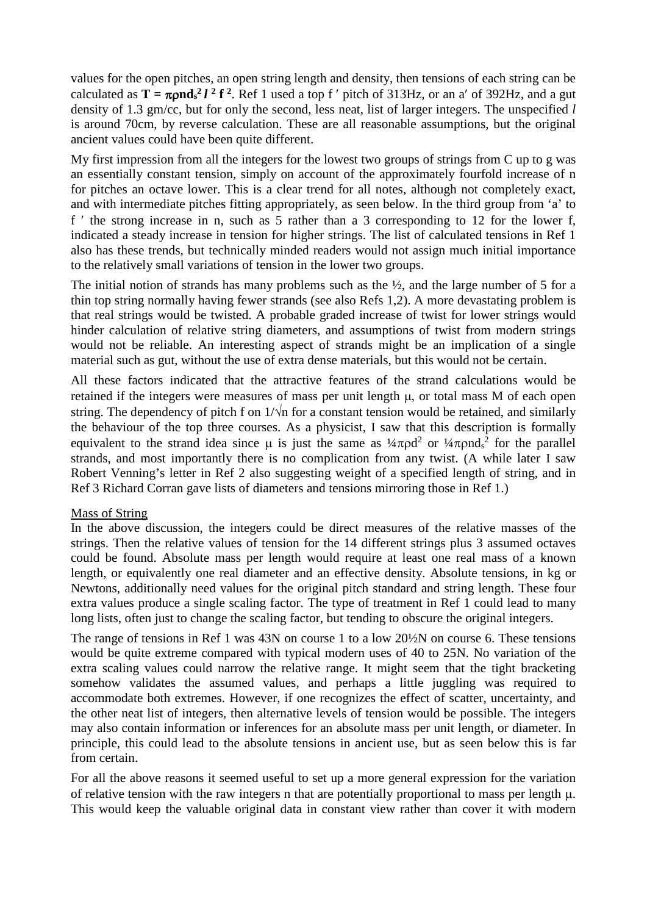values for the open pitches, an open string length and density, then tensions of each string can be calculated as  $T = \pi \rho n d_s^2 l^2 f^2$ . Ref 1 used a top f' pitch of 313Hz, or an a' of 392Hz, and a gut density of 1.3 gm/cc, but for only the second, less neat, list of larger integers. The unspecified *l* is around 70cm, by reverse calculation. These are all reasonable assumptions, but the original ancient values could have been quite different.

My first impression from all the integers for the lowest two groups of strings from C up to g was an essentially constant tension, simply on account of the approximately fourfold increase of n for pitches an octave lower. This is a clear trend for all notes, although not completely exact, and with intermediate pitches fitting appropriately, as seen below. In the third group from 'a' to f ′ the strong increase in n, such as 5 rather than a 3 corresponding to 12 for the lower f, indicated a steady increase in tension for higher strings. The list of calculated tensions in Ref 1 also has these trends, but technically minded readers would not assign much initial importance to the relatively small variations of tension in the lower two groups.

The initial notion of strands has many problems such as the ½, and the large number of 5 for a thin top string normally having fewer strands (see also Refs 1,2). A more devastating problem is that real strings would be twisted. A probable graded increase of twist for lower strings would hinder calculation of relative string diameters, and assumptions of twist from modern strings would not be reliable. An interesting aspect of strands might be an implication of a single material such as gut, without the use of extra dense materials, but this would not be certain.

All these factors indicated that the attractive features of the strand calculations would be retained if the integers were measures of mass per unit length µ, or total mass M of each open string. The dependency of pitch f on  $1/\sqrt{n}$  for a constant tension would be retained, and similarly the behaviour of the top three courses. As a physicist, I saw that this description is formally equivalent to the strand idea since  $\mu$  is just the same as  $\frac{1}{4}\pi \rho d^2$  or  $\frac{1}{4}\pi \rho d s^2$  for the parallel strands, and most importantly there is no complication from any twist. (A while later I saw Robert Venning's letter in Ref 2 also suggesting weight of a specified length of string, and in Ref 3 Richard Corran gave lists of diameters and tensions mirroring those in Ref 1.)

# Mass of String

In the above discussion, the integers could be direct measures of the relative masses of the strings. Then the relative values of tension for the 14 different strings plus 3 assumed octaves could be found. Absolute mass per length would require at least one real mass of a known length, or equivalently one real diameter and an effective density. Absolute tensions, in kg or Newtons, additionally need values for the original pitch standard and string length. These four extra values produce a single scaling factor. The type of treatment in Ref 1 could lead to many long lists, often just to change the scaling factor, but tending to obscure the original integers.

The range of tensions in Ref 1 was 43N on course 1 to a low 20½N on course 6. These tensions would be quite extreme compared with typical modern uses of 40 to 25N. No variation of the extra scaling values could narrow the relative range. It might seem that the tight bracketing somehow validates the assumed values, and perhaps a little juggling was required to accommodate both extremes. However, if one recognizes the effect of scatter, uncertainty, and the other neat list of integers, then alternative levels of tension would be possible. The integers may also contain information or inferences for an absolute mass per unit length, or diameter. In principle, this could lead to the absolute tensions in ancient use, but as seen below this is far from certain.

For all the above reasons it seemed useful to set up a more general expression for the variation of relative tension with the raw integers n that are potentially proportional to mass per length  $\mu$ . This would keep the valuable original data in constant view rather than cover it with modern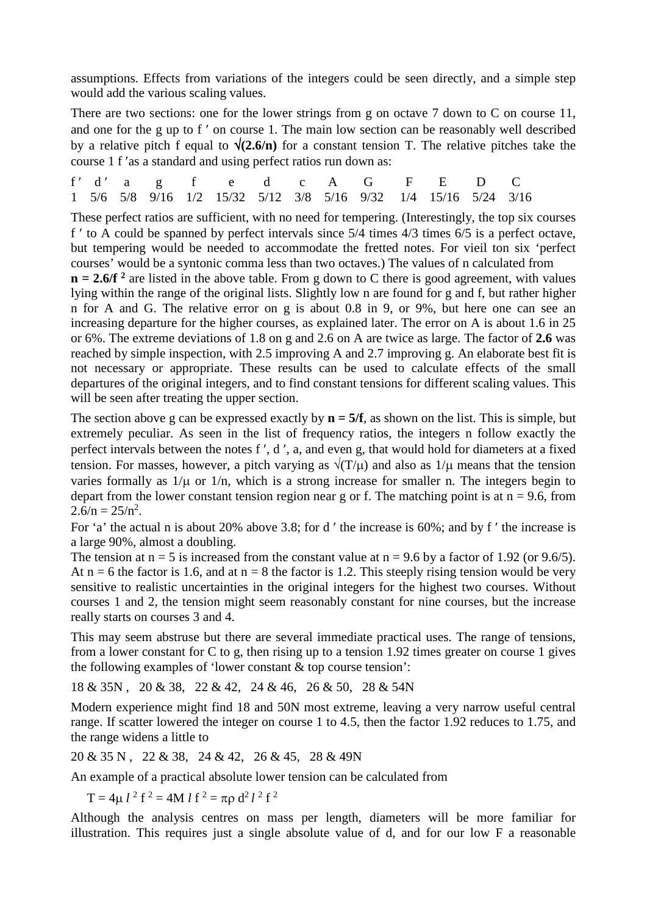assumptions. Effects from variations of the integers could be seen directly, and a simple step would add the various scaling values.

There are two sections: one for the lower strings from g on octave 7 down to C on course 11, and one for the g up to f ′ on course 1. The main low section can be reasonably well described by a relative pitch f equal to  $\sqrt{(2.6/n)}$  for a constant tension T. The relative pitches take the course 1 f ′as a standard and using perfect ratios run down as:

f'd'ag f e d c A G F E D C 1 5/6 5/8 9/16 1/2 15/32 5/12 3/8 5/16 9/32 1/4 15/16 5/24 3/16

These perfect ratios are sufficient, with no need for tempering. (Interestingly, the top six courses f ′ to A could be spanned by perfect intervals since 5/4 times 4/3 times 6/5 is a perfect octave, but tempering would be needed to accommodate the fretted notes. For vieil ton six 'perfect courses' would be a syntonic comma less than two octaves.) The values of n calculated from

 $n = 2.6/f<sup>2</sup>$  are listed in the above table. From g down to C there is good agreement, with values lying within the range of the original lists. Slightly low n are found for g and f, but rather higher n for A and G. The relative error on g is about 0.8 in 9, or 9%, but here one can see an increasing departure for the higher courses, as explained later. The error on A is about 1.6 in 25 or 6%. The extreme deviations of 1.8 on g and 2.6 on A are twice as large. The factor of **2.6** was reached by simple inspection, with 2.5 improving A and 2.7 improving g. An elaborate best fit is not necessary or appropriate. These results can be used to calculate effects of the small departures of the original integers, and to find constant tensions for different scaling values. This will be seen after treating the upper section.

The section above g can be expressed exactly by  $n = 5/f$ , as shown on the list. This is simple, but extremely peculiar. As seen in the list of frequency ratios, the integers n follow exactly the perfect intervals between the notes f ′, d ′, a, and even g, that would hold for diameters at a fixed tension. For masses, however, a pitch varying as  $\sqrt{(T/\mu)}$  and also as  $1/\mu$  means that the tension varies formally as  $1/\mu$  or  $1/n$ , which is a strong increase for smaller n. The integers begin to depart from the lower constant tension region near g or f. The matching point is at  $n = 9.6$ , from  $2.6/n = 25/n^2$ .

For 'a' the actual n is about 20% above 3.8; for d ′ the increase is 60%; and by f ′ the increase is a large 90%, almost a doubling.

The tension at  $n = 5$  is increased from the constant value at  $n = 9.6$  by a factor of 1.92 (or 9.6/5). At  $n = 6$  the factor is 1.6, and at  $n = 8$  the factor is 1.2. This steeply rising tension would be very sensitive to realistic uncertainties in the original integers for the highest two courses. Without courses 1 and 2, the tension might seem reasonably constant for nine courses, but the increase really starts on courses 3 and 4.

This may seem abstruse but there are several immediate practical uses. The range of tensions, from a lower constant for C to g, then rising up to a tension 1.92 times greater on course 1 gives the following examples of 'lower constant & top course tension':

18 & 35N , 20 & 38, 22 & 42, 24 & 46, 26 & 50, 28 & 54N

Modern experience might find 18 and 50N most extreme, leaving a very narrow useful central range. If scatter lowered the integer on course 1 to 4.5, then the factor 1.92 reduces to 1.75, and the range widens a little to

20 & 35 N , 22 & 38, 24 & 42, 26 & 45, 28 & 49N

An example of a practical absolute lower tension can be calculated from

 $T = 4\mu l^2 f^2 = 4M l f^2 = \pi \rho d^2 l^2 f^2$ 

Although the analysis centres on mass per length, diameters will be more familiar for illustration. This requires just a single absolute value of d, and for our low F a reasonable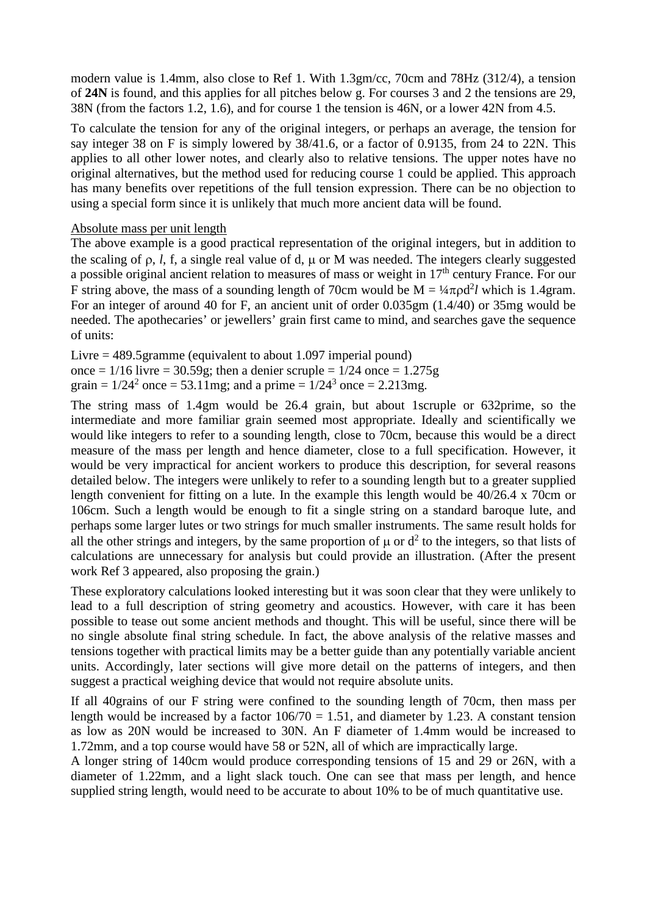modern value is 1.4mm, also close to Ref 1. With 1.3gm/cc, 70cm and 78Hz (312/4), a tension of **24N** is found, and this applies for all pitches below g. For courses 3 and 2 the tensions are 29, 38N (from the factors 1.2, 1.6), and for course 1 the tension is 46N, or a lower 42N from 4.5.

To calculate the tension for any of the original integers, or perhaps an average, the tension for say integer 38 on F is simply lowered by 38/41.6, or a factor of 0.9135, from 24 to 22N. This applies to all other lower notes, and clearly also to relative tensions. The upper notes have no original alternatives, but the method used for reducing course 1 could be applied. This approach has many benefits over repetitions of the full tension expression. There can be no objection to using a special form since it is unlikely that much more ancient data will be found.

# Absolute mass per unit length

The above example is a good practical representation of the original integers, but in addition to the scaling of ρ, *l*, f, a single real value of d, µ or M was needed. The integers clearly suggested a possible original ancient relation to measures of mass or weight in 17<sup>th</sup> century France. For our F string above, the mass of a sounding length of 70cm would be  $M = \frac{1}{4}\pi \rho d^2 l$  which is 1.4gram. For an integer of around 40 for F, an ancient unit of order 0.035gm (1.4/40) or 35mg would be needed. The apothecaries' or jewellers' grain first came to mind, and searches gave the sequence of units:

Livre = 489.5gramme (equivalent to about 1.097 imperial pound) once =  $1/16$  livre =  $30.59$ g; then a denier scruple =  $1/24$  once =  $1.275$ g grain =  $1/24^2$  once = 53.11mg; and a prime =  $1/24^3$  once = 2.213mg.

The string mass of 1.4gm would be 26.4 grain, but about 1scruple or 632prime, so the intermediate and more familiar grain seemed most appropriate. Ideally and scientifically we would like integers to refer to a sounding length, close to 70cm, because this would be a direct measure of the mass per length and hence diameter, close to a full specification. However, it would be very impractical for ancient workers to produce this description, for several reasons detailed below. The integers were unlikely to refer to a sounding length but to a greater supplied length convenient for fitting on a lute. In the example this length would be 40/26.4 x 70cm or 106cm. Such a length would be enough to fit a single string on a standard baroque lute, and perhaps some larger lutes or two strings for much smaller instruments. The same result holds for all the other strings and integers, by the same proportion of  $\mu$  or  $d^2$  to the integers, so that lists of calculations are unnecessary for analysis but could provide an illustration. (After the present work Ref 3 appeared, also proposing the grain.)

These exploratory calculations looked interesting but it was soon clear that they were unlikely to lead to a full description of string geometry and acoustics. However, with care it has been possible to tease out some ancient methods and thought. This will be useful, since there will be no single absolute final string schedule. In fact, the above analysis of the relative masses and tensions together with practical limits may be a better guide than any potentially variable ancient units. Accordingly, later sections will give more detail on the patterns of integers, and then suggest a practical weighing device that would not require absolute units.

If all 40grains of our F string were confined to the sounding length of 70cm, then mass per length would be increased by a factor  $106/70 = 1.51$ , and diameter by 1.23. A constant tension as low as 20N would be increased to 30N. An F diameter of 1.4mm would be increased to 1.72mm, and a top course would have 58 or 52N, all of which are impractically large.

A longer string of 140cm would produce corresponding tensions of 15 and 29 or 26N, with a diameter of 1.22mm, and a light slack touch. One can see that mass per length, and hence supplied string length, would need to be accurate to about 10% to be of much quantitative use.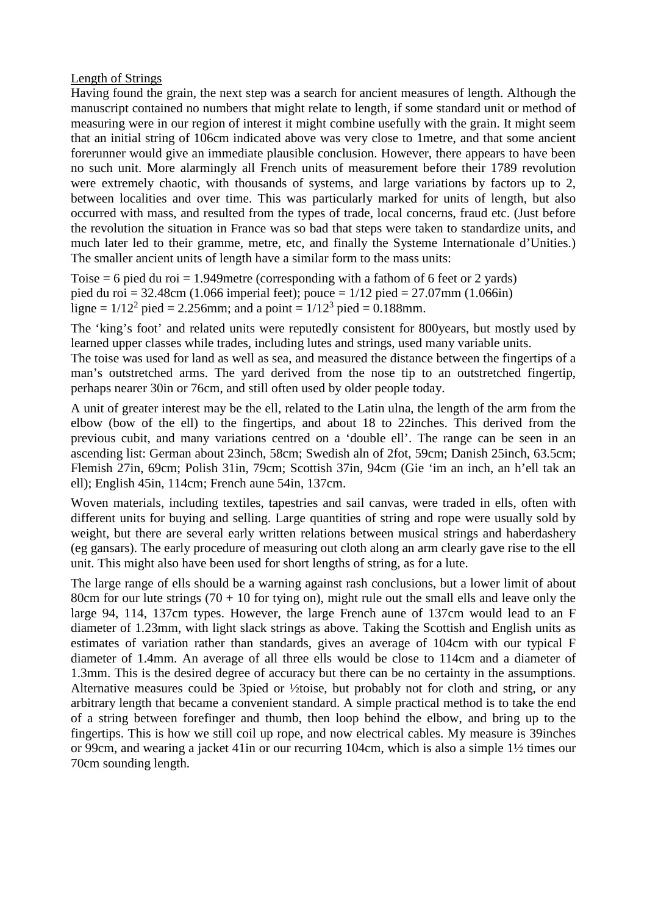Length of Strings

Having found the grain, the next step was a search for ancient measures of length. Although the manuscript contained no numbers that might relate to length, if some standard unit or method of measuring were in our region of interest it might combine usefully with the grain. It might seem that an initial string of 106cm indicated above was very close to 1metre, and that some ancient forerunner would give an immediate plausible conclusion. However, there appears to have been no such unit. More alarmingly all French units of measurement before their 1789 revolution were extremely chaotic, with thousands of systems, and large variations by factors up to 2, between localities and over time. This was particularly marked for units of length, but also occurred with mass, and resulted from the types of trade, local concerns, fraud etc. (Just before the revolution the situation in France was so bad that steps were taken to standardize units, and much later led to their gramme, metre, etc, and finally the Systeme Internationale d'Unities.) The smaller ancient units of length have a similar form to the mass units:

Toise  $= 6$  pied du roi  $= 1.949$  metre (corresponding with a fathom of 6 feet or 2 yards) pied du roi = 32.48cm (1.066 imperial feet); pouce =  $1/12$  pied = 27.07mm (1.066in) ligne =  $1/12^2$  pied = 2.256mm; and a point =  $1/12^3$  pied = 0.188mm.

The 'king's foot' and related units were reputedly consistent for 800years, but mostly used by learned upper classes while trades, including lutes and strings, used many variable units.

The toise was used for land as well as sea, and measured the distance between the fingertips of a man's outstretched arms. The yard derived from the nose tip to an outstretched fingertip, perhaps nearer 30in or 76cm, and still often used by older people today.

A unit of greater interest may be the ell, related to the Latin ulna, the length of the arm from the elbow (bow of the ell) to the fingertips, and about 18 to 22inches. This derived from the previous cubit, and many variations centred on a 'double ell'. The range can be seen in an ascending list: German about 23inch, 58cm; Swedish aln of 2fot, 59cm; Danish 25inch, 63.5cm; Flemish 27in, 69cm; Polish 31in, 79cm; Scottish 37in, 94cm (Gie 'im an inch, an h'ell tak an ell); English 45in, 114cm; French aune 54in, 137cm.

Woven materials, including textiles, tapestries and sail canvas, were traded in ells, often with different units for buying and selling. Large quantities of string and rope were usually sold by weight, but there are several early written relations between musical strings and haberdashery (eg gansars). The early procedure of measuring out cloth along an arm clearly gave rise to the ell unit. This might also have been used for short lengths of string, as for a lute.

The large range of ells should be a warning against rash conclusions, but a lower limit of about 80cm for our lute strings  $(70 + 10$  for tying on), might rule out the small ells and leave only the large 94, 114, 137cm types. However, the large French aune of 137cm would lead to an F diameter of 1.23mm, with light slack strings as above. Taking the Scottish and English units as estimates of variation rather than standards, gives an average of 104cm with our typical F diameter of 1.4mm. An average of all three ells would be close to 114cm and a diameter of 1.3mm. This is the desired degree of accuracy but there can be no certainty in the assumptions. Alternative measures could be 3pied or ½toise, but probably not for cloth and string, or any arbitrary length that became a convenient standard. A simple practical method is to take the end of a string between forefinger and thumb, then loop behind the elbow, and bring up to the fingertips. This is how we still coil up rope, and now electrical cables. My measure is 39inches or 99cm, and wearing a jacket 41in or our recurring 104cm, which is also a simple 1½ times our 70cm sounding length.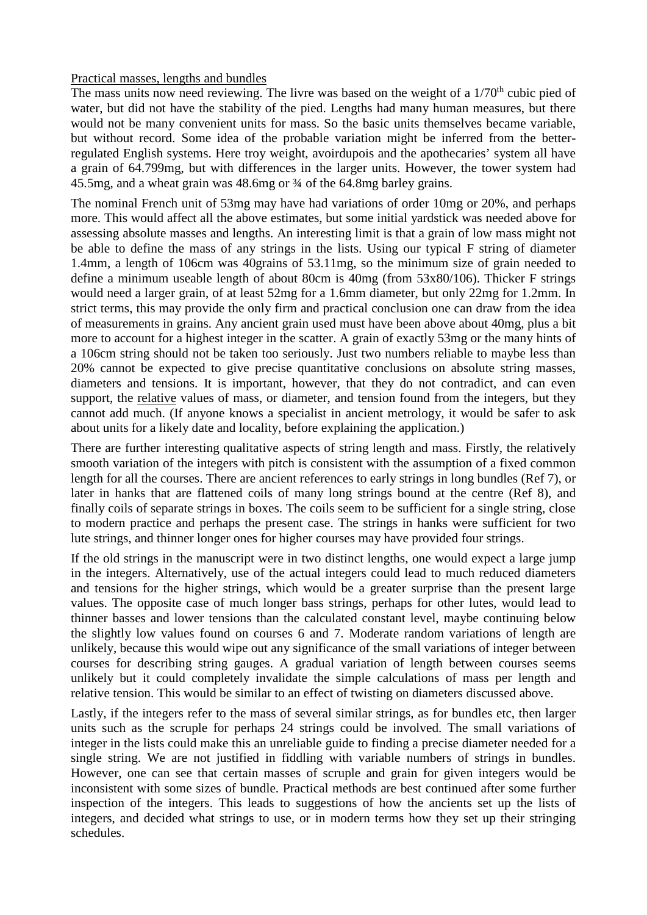# Practical masses, lengths and bundles

The mass units now need reviewing. The livre was based on the weight of a  $1/70<sup>th</sup>$  cubic pied of water, but did not have the stability of the pied. Lengths had many human measures, but there would not be many convenient units for mass. So the basic units themselves became variable, but without record. Some idea of the probable variation might be inferred from the betterregulated English systems. Here troy weight, avoirdupois and the apothecaries' system all have a grain of 64.799mg, but with differences in the larger units. However, the tower system had 45.5mg, and a wheat grain was 48.6mg or  $\frac{3}{4}$  of the 64.8mg barley grains.

The nominal French unit of 53mg may have had variations of order 10mg or 20%, and perhaps more. This would affect all the above estimates, but some initial yardstick was needed above for assessing absolute masses and lengths. An interesting limit is that a grain of low mass might not be able to define the mass of any strings in the lists. Using our typical F string of diameter 1.4mm, a length of 106cm was 40grains of 53.11mg, so the minimum size of grain needed to define a minimum useable length of about 80cm is 40mg (from 53x80/106). Thicker F strings would need a larger grain, of at least 52mg for a 1.6mm diameter, but only 22mg for 1.2mm. In strict terms, this may provide the only firm and practical conclusion one can draw from the idea of measurements in grains. Any ancient grain used must have been above about 40mg, plus a bit more to account for a highest integer in the scatter. A grain of exactly 53mg or the many hints of a 106cm string should not be taken too seriously. Just two numbers reliable to maybe less than 20% cannot be expected to give precise quantitative conclusions on absolute string masses, diameters and tensions. It is important, however, that they do not contradict, and can even support, the relative values of mass, or diameter, and tension found from the integers, but they cannot add much. (If anyone knows a specialist in ancient metrology, it would be safer to ask about units for a likely date and locality, before explaining the application.)

There are further interesting qualitative aspects of string length and mass. Firstly, the relatively smooth variation of the integers with pitch is consistent with the assumption of a fixed common length for all the courses. There are ancient references to early strings in long bundles (Ref 7), or later in hanks that are flattened coils of many long strings bound at the centre (Ref 8), and finally coils of separate strings in boxes. The coils seem to be sufficient for a single string, close to modern practice and perhaps the present case. The strings in hanks were sufficient for two lute strings, and thinner longer ones for higher courses may have provided four strings.

If the old strings in the manuscript were in two distinct lengths, one would expect a large jump in the integers. Alternatively, use of the actual integers could lead to much reduced diameters and tensions for the higher strings, which would be a greater surprise than the present large values. The opposite case of much longer bass strings, perhaps for other lutes, would lead to thinner basses and lower tensions than the calculated constant level, maybe continuing below the slightly low values found on courses 6 and 7. Moderate random variations of length are unlikely, because this would wipe out any significance of the small variations of integer between courses for describing string gauges. A gradual variation of length between courses seems unlikely but it could completely invalidate the simple calculations of mass per length and relative tension. This would be similar to an effect of twisting on diameters discussed above.

Lastly, if the integers refer to the mass of several similar strings, as for bundles etc, then larger units such as the scruple for perhaps 24 strings could be involved. The small variations of integer in the lists could make this an unreliable guide to finding a precise diameter needed for a single string. We are not justified in fiddling with variable numbers of strings in bundles. However, one can see that certain masses of scruple and grain for given integers would be inconsistent with some sizes of bundle. Practical methods are best continued after some further inspection of the integers. This leads to suggestions of how the ancients set up the lists of integers, and decided what strings to use, or in modern terms how they set up their stringing schedules.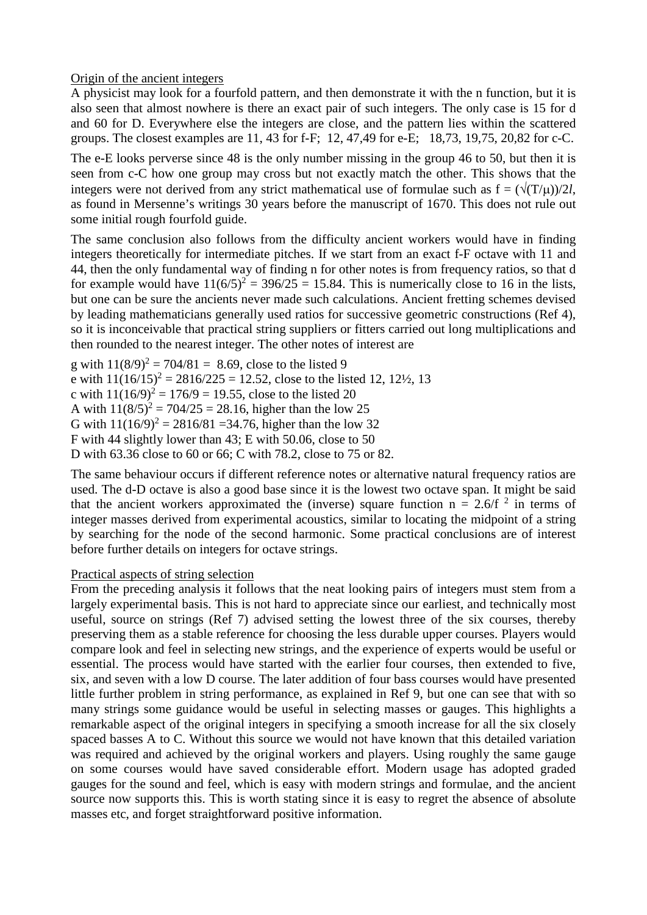# Origin of the ancient integers

A physicist may look for a fourfold pattern, and then demonstrate it with the n function, but it is also seen that almost nowhere is there an exact pair of such integers. The only case is 15 for d and 60 for D. Everywhere else the integers are close, and the pattern lies within the scattered groups. The closest examples are 11, 43 for f-F; 12, 47,49 for e-E; 18,73, 19,75, 20,82 for c-C.

The e-E looks perverse since 48 is the only number missing in the group 46 to 50, but then it is seen from c-C how one group may cross but not exactly match the other. This shows that the integers were not derived from any strict mathematical use of formulae such as  $f = (\sqrt{(T/\mu)})/2l$ , as found in Mersenne's writings 30 years before the manuscript of 1670. This does not rule out some initial rough fourfold guide.

The same conclusion also follows from the difficulty ancient workers would have in finding integers theoretically for intermediate pitches. If we start from an exact f-F octave with 11 and 44, then the only fundamental way of finding n for other notes is from frequency ratios, so that d for example would have  $11(6/5)^2 = 396/25 = 15.84$ . This is numerically close to 16 in the lists, but one can be sure the ancients never made such calculations. Ancient fretting schemes devised by leading mathematicians generally used ratios for successive geometric constructions (Ref 4), so it is inconceivable that practical string suppliers or fitters carried out long multiplications and then rounded to the nearest integer. The other notes of interest are

g with  $11(8/9)^2 = 704/81 = 8.69$ , close to the listed 9 e with  $11(16/15)^2 = 2816/225 = 12.52$ , close to the listed 12, 12<sup>1</sup>/<sub>2</sub>, 13 c with  $11(16/9)^2 = 176/9 = 19.55$ , close to the listed 20 A with  $11(8/5)^2 = 704/25 = 28.16$ , higher than the low 25 G with  $11(16/9)^2 = 2816/81 = 34.76$ , higher than the low 32 F with 44 slightly lower than 43; E with 50.06, close to 50 D with 63.36 close to 60 or 66; C with 78.2, close to 75 or 82.

The same behaviour occurs if different reference notes or alternative natural frequency ratios are used. The d-D octave is also a good base since it is the lowest two octave span. It might be said that the ancient workers approximated the (inverse) square function  $n = 2.6/f<sup>2</sup>$  in terms of integer masses derived from experimental acoustics, similar to locating the midpoint of a string by searching for the node of the second harmonic. Some practical conclusions are of interest before further details on integers for octave strings.

# Practical aspects of string selection

From the preceding analysis it follows that the neat looking pairs of integers must stem from a largely experimental basis. This is not hard to appreciate since our earliest, and technically most useful, source on strings (Ref 7) advised setting the lowest three of the six courses, thereby preserving them as a stable reference for choosing the less durable upper courses. Players would compare look and feel in selecting new strings, and the experience of experts would be useful or essential. The process would have started with the earlier four courses, then extended to five, six, and seven with a low D course. The later addition of four bass courses would have presented little further problem in string performance, as explained in Ref 9, but one can see that with so many strings some guidance would be useful in selecting masses or gauges. This highlights a remarkable aspect of the original integers in specifying a smooth increase for all the six closely spaced basses A to C. Without this source we would not have known that this detailed variation was required and achieved by the original workers and players. Using roughly the same gauge on some courses would have saved considerable effort. Modern usage has adopted graded gauges for the sound and feel, which is easy with modern strings and formulae, and the ancient source now supports this. This is worth stating since it is easy to regret the absence of absolute masses etc, and forget straightforward positive information.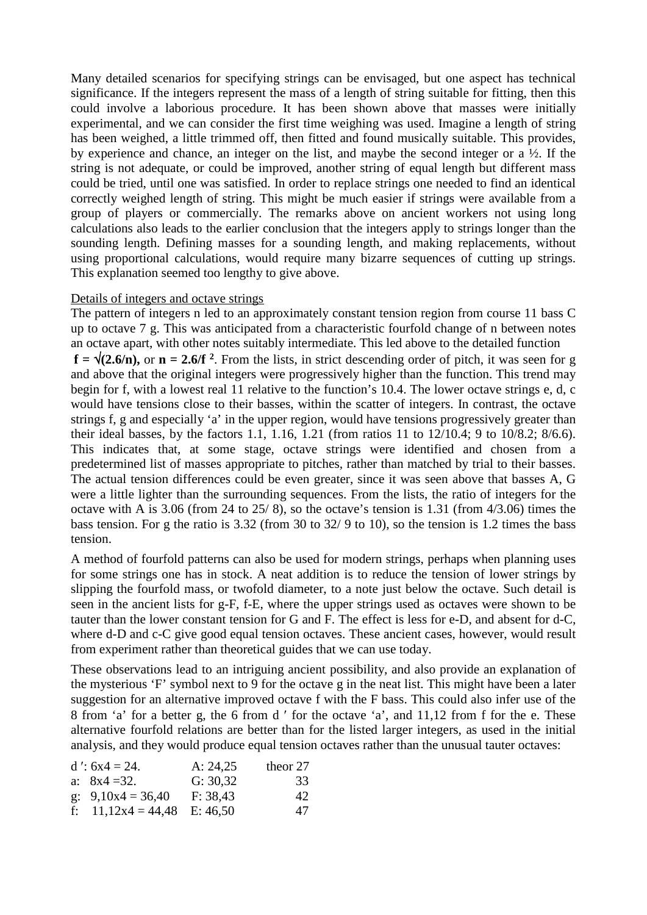Many detailed scenarios for specifying strings can be envisaged, but one aspect has technical significance. If the integers represent the mass of a length of string suitable for fitting, then this could involve a laborious procedure. It has been shown above that masses were initially experimental, and we can consider the first time weighing was used. Imagine a length of string has been weighed, a little trimmed off, then fitted and found musically suitable. This provides, by experience and chance, an integer on the list, and maybe the second integer or a ½. If the string is not adequate, or could be improved, another string of equal length but different mass could be tried, until one was satisfied. In order to replace strings one needed to find an identical correctly weighed length of string. This might be much easier if strings were available from a group of players or commercially. The remarks above on ancient workers not using long calculations also leads to the earlier conclusion that the integers apply to strings longer than the sounding length. Defining masses for a sounding length, and making replacements, without using proportional calculations, would require many bizarre sequences of cutting up strings. This explanation seemed too lengthy to give above.

#### Details of integers and octave strings

The pattern of integers n led to an approximately constant tension region from course 11 bass C up to octave 7 g. This was anticipated from a characteristic fourfold change of n between notes an octave apart, with other notes suitably intermediate. This led above to the detailed function  $f = \sqrt{(2.6/n)}$ , or  $n = 2.6/f^2$ . From the lists, in strict descending order of pitch, it was seen for g and above that the original integers were progressively higher than the function. This trend may begin for f, with a lowest real 11 relative to the function's 10.4. The lower octave strings e, d, c would have tensions close to their basses, within the scatter of integers. In contrast, the octave strings f, g and especially 'a' in the upper region, would have tensions progressively greater than their ideal basses, by the factors 1.1, 1.16, 1.21 (from ratios 11 to 12/10.4; 9 to 10/8.2; 8/6.6). This indicates that, at some stage, octave strings were identified and chosen from a predetermined list of masses appropriate to pitches, rather than matched by trial to their basses. The actual tension differences could be even greater, since it was seen above that basses A, G were a little lighter than the surrounding sequences. From the lists, the ratio of integers for the octave with A is 3.06 (from 24 to 25/ 8), so the octave's tension is 1.31 (from 4/3.06) times the bass tension. For g the ratio is 3.32 (from 30 to 32/ 9 to 10), so the tension is 1.2 times the bass tension.

A method of fourfold patterns can also be used for modern strings, perhaps when planning uses for some strings one has in stock. A neat addition is to reduce the tension of lower strings by slipping the fourfold mass, or twofold diameter, to a note just below the octave. Such detail is seen in the ancient lists for g-F, f-E, where the upper strings used as octaves were shown to be tauter than the lower constant tension for G and F. The effect is less for e-D, and absent for d-C, where d-D and c-C give good equal tension octaves. These ancient cases, however, would result from experiment rather than theoretical guides that we can use today.

These observations lead to an intriguing ancient possibility, and also provide an explanation of the mysterious 'F' symbol next to 9 for the octave g in the neat list. This might have been a later suggestion for an alternative improved octave f with the F bass. This could also infer use of the 8 from 'a' for a better g, the 6 from d ′ for the octave 'a', and 11,12 from f for the e. These alternative fourfold relations are better than for the listed larger integers, as used in the initial analysis, and they would produce equal tension octaves rather than the unusual tauter octaves:

| $d$ ': $6x4 = 24$ .           | A: $24,25$ | theor 27 |
|-------------------------------|------------|----------|
| a: $8x4 = 32$ .               | G: 30,32   | 33       |
| g: $9,10x4 = 36,40$           | F: 38,43   | 42.      |
| f: $11,12x4 = 44,48$ E: 46,50 |            | 47       |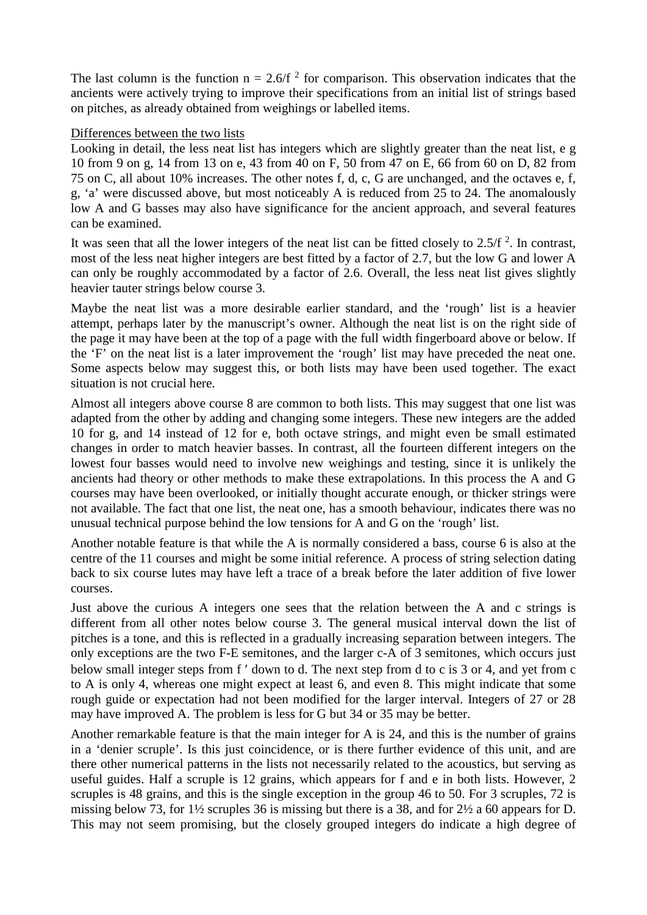The last column is the function  $n = 2.6/f<sup>2</sup>$  for comparison. This observation indicates that the ancients were actively trying to improve their specifications from an initial list of strings based on pitches, as already obtained from weighings or labelled items.

### Differences between the two lists

Looking in detail, the less neat list has integers which are slightly greater than the neat list, e g 10 from 9 on g, 14 from 13 on e, 43 from 40 on F, 50 from 47 on E, 66 from 60 on D, 82 from 75 on C, all about 10% increases. The other notes f, d, c, G are unchanged, and the octaves e, f, g, 'a' were discussed above, but most noticeably A is reduced from 25 to 24. The anomalously low A and G basses may also have significance for the ancient approach, and several features can be examined.

It was seen that all the lower integers of the neat list can be fitted closely to  $2.5/f<sup>2</sup>$ . In contrast, most of the less neat higher integers are best fitted by a factor of 2.7, but the low G and lower A can only be roughly accommodated by a factor of 2.6. Overall, the less neat list gives slightly heavier tauter strings below course 3.

Maybe the neat list was a more desirable earlier standard, and the 'rough' list is a heavier attempt, perhaps later by the manuscript's owner. Although the neat list is on the right side of the page it may have been at the top of a page with the full width fingerboard above or below. If the 'F' on the neat list is a later improvement the 'rough' list may have preceded the neat one. Some aspects below may suggest this, or both lists may have been used together. The exact situation is not crucial here.

Almost all integers above course 8 are common to both lists. This may suggest that one list was adapted from the other by adding and changing some integers. These new integers are the added 10 for g, and 14 instead of 12 for e, both octave strings, and might even be small estimated changes in order to match heavier basses. In contrast, all the fourteen different integers on the lowest four basses would need to involve new weighings and testing, since it is unlikely the ancients had theory or other methods to make these extrapolations. In this process the A and G courses may have been overlooked, or initially thought accurate enough, or thicker strings were not available. The fact that one list, the neat one, has a smooth behaviour, indicates there was no unusual technical purpose behind the low tensions for A and G on the 'rough' list.

Another notable feature is that while the A is normally considered a bass, course 6 is also at the centre of the 11 courses and might be some initial reference. A process of string selection dating back to six course lutes may have left a trace of a break before the later addition of five lower courses.

Just above the curious A integers one sees that the relation between the A and c strings is different from all other notes below course 3. The general musical interval down the list of pitches is a tone, and this is reflected in a gradually increasing separation between integers. The only exceptions are the two F-E semitones, and the larger c-A of 3 semitones, which occurs just below small integer steps from f ′ down to d. The next step from d to c is 3 or 4, and yet from c to A is only 4, whereas one might expect at least 6, and even 8. This might indicate that some rough guide or expectation had not been modified for the larger interval. Integers of 27 or 28 may have improved A. The problem is less for G but 34 or 35 may be better.

Another remarkable feature is that the main integer for A is 24, and this is the number of grains in a 'denier scruple'. Is this just coincidence, or is there further evidence of this unit, and are there other numerical patterns in the lists not necessarily related to the acoustics, but serving as useful guides. Half a scruple is 12 grains, which appears for f and e in both lists. However, 2 scruples is 48 grains, and this is the single exception in the group 46 to 50. For 3 scruples, 72 is missing below 73, for 1½ scruples 36 is missing but there is a 38, and for 2½ a 60 appears for D. This may not seem promising, but the closely grouped integers do indicate a high degree of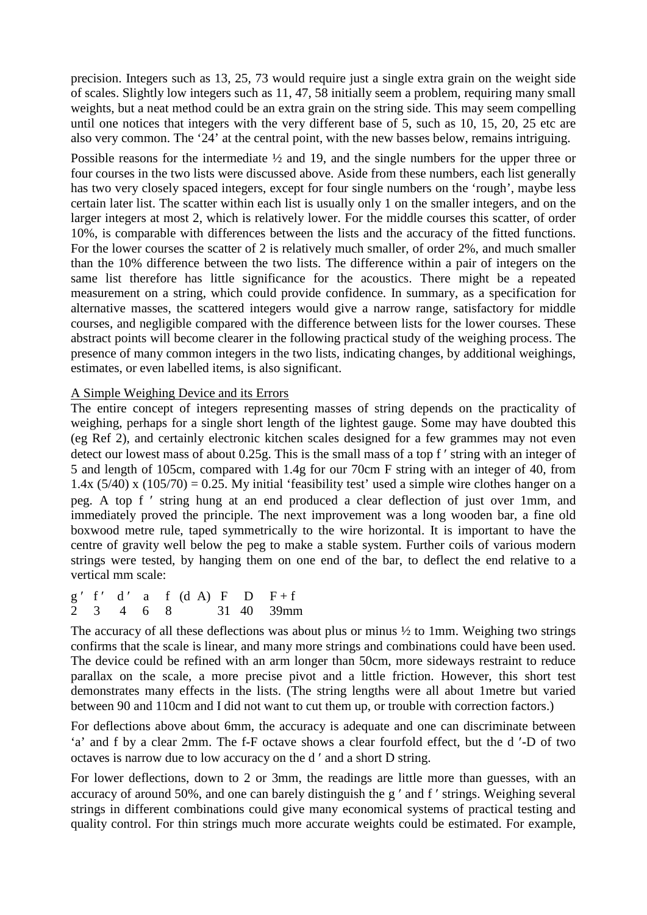precision. Integers such as 13, 25, 73 would require just a single extra grain on the weight side of scales. Slightly low integers such as 11, 47, 58 initially seem a problem, requiring many small weights, but a neat method could be an extra grain on the string side. This may seem compelling until one notices that integers with the very different base of 5, such as 10, 15, 20, 25 etc are also very common. The '24' at the central point, with the new basses below, remains intriguing.

Possible reasons for the intermediate ½ and 19, and the single numbers for the upper three or four courses in the two lists were discussed above. Aside from these numbers, each list generally has two very closely spaced integers, except for four single numbers on the 'rough', maybe less certain later list. The scatter within each list is usually only 1 on the smaller integers, and on the larger integers at most 2, which is relatively lower. For the middle courses this scatter, of order 10%, is comparable with differences between the lists and the accuracy of the fitted functions. For the lower courses the scatter of 2 is relatively much smaller, of order 2%, and much smaller than the 10% difference between the two lists. The difference within a pair of integers on the same list therefore has little significance for the acoustics. There might be a repeated measurement on a string, which could provide confidence. In summary, as a specification for alternative masses, the scattered integers would give a narrow range, satisfactory for middle courses, and negligible compared with the difference between lists for the lower courses. These abstract points will become clearer in the following practical study of the weighing process. The presence of many common integers in the two lists, indicating changes, by additional weighings, estimates, or even labelled items, is also significant.

# A Simple Weighing Device and its Errors

The entire concept of integers representing masses of string depends on the practicality of weighing, perhaps for a single short length of the lightest gauge. Some may have doubted this (eg Ref 2), and certainly electronic kitchen scales designed for a few grammes may not even detect our lowest mass of about 0.25g. This is the small mass of a top f' string with an integer of 5 and length of 105cm, compared with 1.4g for our 70cm F string with an integer of 40, from 1.4x  $(5/40)$  x  $(105/70) = 0.25$ . My initial 'feasibility test' used a simple wire clothes hanger on a peg. A top f ′ string hung at an end produced a clear deflection of just over 1mm, and immediately proved the principle. The next improvement was a long wooden bar, a fine old boxwood metre rule, taped symmetrically to the wire horizontal. It is important to have the centre of gravity well below the peg to make a stable system. Further coils of various modern strings were tested, by hanging them on one end of the bar, to deflect the end relative to a vertical mm scale:

 $g'$  f' d' a f (d A) F D F+f 2 3 4 6 8 31 40 39mm

The accuracy of all these deflections was about plus or minus  $\frac{1}{2}$  to 1mm. Weighing two strings confirms that the scale is linear, and many more strings and combinations could have been used. The device could be refined with an arm longer than 50cm, more sideways restraint to reduce parallax on the scale, a more precise pivot and a little friction. However, this short test demonstrates many effects in the lists. (The string lengths were all about 1metre but varied between 90 and 110cm and I did not want to cut them up, or trouble with correction factors.)

For deflections above about 6mm, the accuracy is adequate and one can discriminate between 'a' and f by a clear 2mm. The f-F octave shows a clear fourfold effect, but the d ′-D of two octaves is narrow due to low accuracy on the d ′ and a short D string.

For lower deflections, down to 2 or 3mm, the readings are little more than guesses, with an accuracy of around 50%, and one can barely distinguish the g ′ and f ′ strings. Weighing several strings in different combinations could give many economical systems of practical testing and quality control. For thin strings much more accurate weights could be estimated. For example,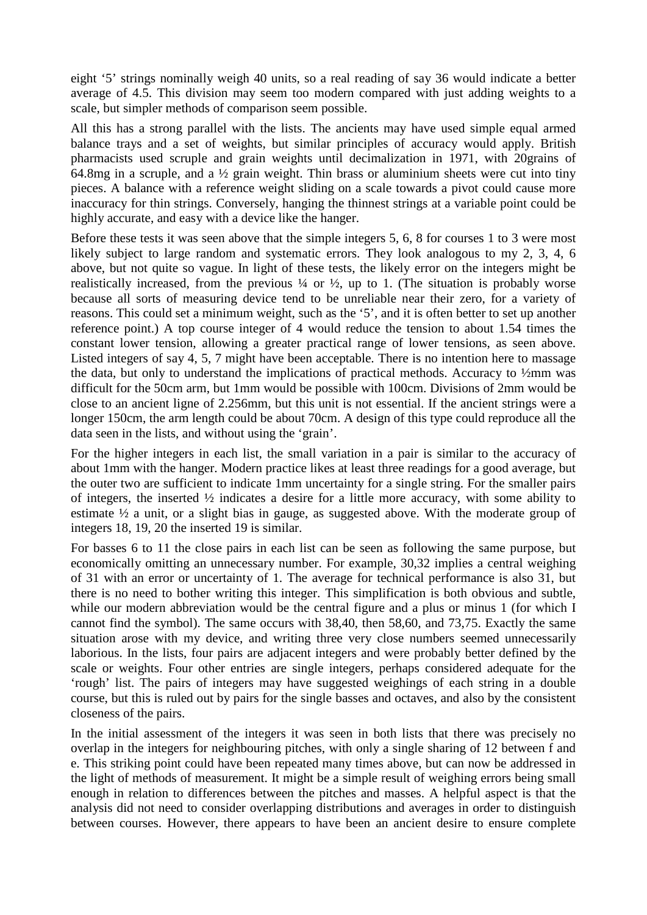eight '5' strings nominally weigh 40 units, so a real reading of say 36 would indicate a better average of 4.5. This division may seem too modern compared with just adding weights to a scale, but simpler methods of comparison seem possible.

All this has a strong parallel with the lists. The ancients may have used simple equal armed balance trays and a set of weights, but similar principles of accuracy would apply. British pharmacists used scruple and grain weights until decimalization in 1971, with 20grains of 64.8mg in a scruple, and a ½ grain weight. Thin brass or aluminium sheets were cut into tiny pieces. A balance with a reference weight sliding on a scale towards a pivot could cause more inaccuracy for thin strings. Conversely, hanging the thinnest strings at a variable point could be highly accurate, and easy with a device like the hanger.

Before these tests it was seen above that the simple integers 5, 6, 8 for courses 1 to 3 were most likely subject to large random and systematic errors. They look analogous to my 2, 3, 4, 6 above, but not quite so vague. In light of these tests, the likely error on the integers might be realistically increased, from the previous  $\frac{1}{4}$  or  $\frac{1}{2}$ , up to 1. (The situation is probably worse because all sorts of measuring device tend to be unreliable near their zero, for a variety of reasons. This could set a minimum weight, such as the '5', and it is often better to set up another reference point.) A top course integer of 4 would reduce the tension to about 1.54 times the constant lower tension, allowing a greater practical range of lower tensions, as seen above. Listed integers of say 4, 5, 7 might have been acceptable. There is no intention here to massage the data, but only to understand the implications of practical methods. Accuracy to ½mm was difficult for the 50cm arm, but 1mm would be possible with 100cm. Divisions of 2mm would be close to an ancient ligne of 2.256mm, but this unit is not essential. If the ancient strings were a longer 150cm, the arm length could be about 70cm. A design of this type could reproduce all the data seen in the lists, and without using the 'grain'.

For the higher integers in each list, the small variation in a pair is similar to the accuracy of about 1mm with the hanger. Modern practice likes at least three readings for a good average, but the outer two are sufficient to indicate 1mm uncertainty for a single string. For the smaller pairs of integers, the inserted ½ indicates a desire for a little more accuracy, with some ability to estimate ½ a unit, or a slight bias in gauge, as suggested above. With the moderate group of integers 18, 19, 20 the inserted 19 is similar.

For basses 6 to 11 the close pairs in each list can be seen as following the same purpose, but economically omitting an unnecessary number. For example, 30,32 implies a central weighing of 31 with an error or uncertainty of 1. The average for technical performance is also 31, but there is no need to bother writing this integer. This simplification is both obvious and subtle, while our modern abbreviation would be the central figure and a plus or minus 1 (for which I cannot find the symbol). The same occurs with 38,40, then 58,60, and 73,75. Exactly the same situation arose with my device, and writing three very close numbers seemed unnecessarily laborious. In the lists, four pairs are adjacent integers and were probably better defined by the scale or weights. Four other entries are single integers, perhaps considered adequate for the 'rough' list. The pairs of integers may have suggested weighings of each string in a double course, but this is ruled out by pairs for the single basses and octaves, and also by the consistent closeness of the pairs.

In the initial assessment of the integers it was seen in both lists that there was precisely no overlap in the integers for neighbouring pitches, with only a single sharing of 12 between f and e. This striking point could have been repeated many times above, but can now be addressed in the light of methods of measurement. It might be a simple result of weighing errors being small enough in relation to differences between the pitches and masses. A helpful aspect is that the analysis did not need to consider overlapping distributions and averages in order to distinguish between courses. However, there appears to have been an ancient desire to ensure complete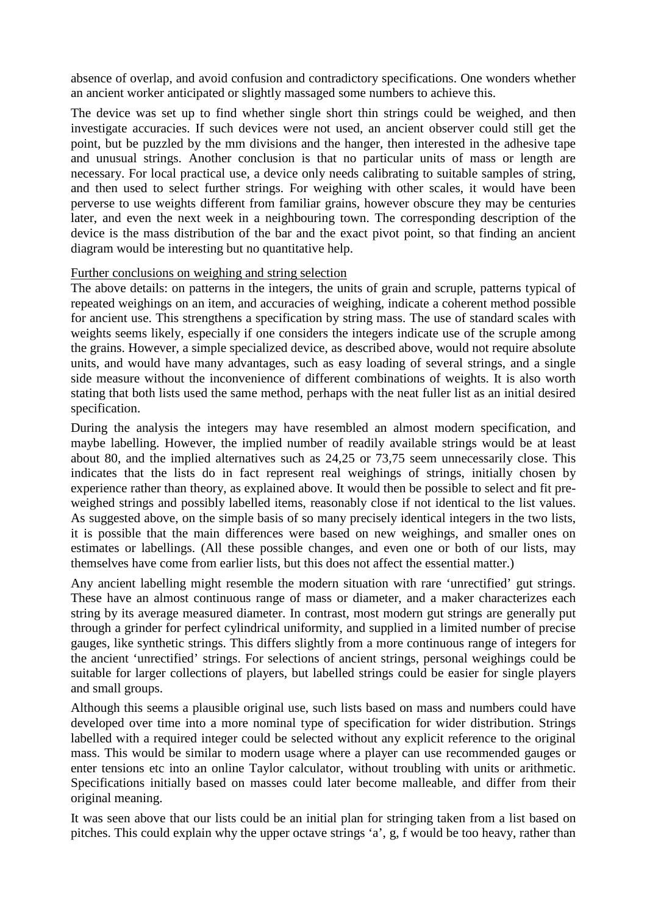absence of overlap, and avoid confusion and contradictory specifications. One wonders whether an ancient worker anticipated or slightly massaged some numbers to achieve this.

The device was set up to find whether single short thin strings could be weighed, and then investigate accuracies. If such devices were not used, an ancient observer could still get the point, but be puzzled by the mm divisions and the hanger, then interested in the adhesive tape and unusual strings. Another conclusion is that no particular units of mass or length are necessary. For local practical use, a device only needs calibrating to suitable samples of string, and then used to select further strings. For weighing with other scales, it would have been perverse to use weights different from familiar grains, however obscure they may be centuries later, and even the next week in a neighbouring town. The corresponding description of the device is the mass distribution of the bar and the exact pivot point, so that finding an ancient diagram would be interesting but no quantitative help.

# Further conclusions on weighing and string selection

The above details: on patterns in the integers, the units of grain and scruple, patterns typical of repeated weighings on an item, and accuracies of weighing, indicate a coherent method possible for ancient use. This strengthens a specification by string mass. The use of standard scales with weights seems likely, especially if one considers the integers indicate use of the scruple among the grains. However, a simple specialized device, as described above, would not require absolute units, and would have many advantages, such as easy loading of several strings, and a single side measure without the inconvenience of different combinations of weights. It is also worth stating that both lists used the same method, perhaps with the neat fuller list as an initial desired specification.

During the analysis the integers may have resembled an almost modern specification, and maybe labelling. However, the implied number of readily available strings would be at least about 80, and the implied alternatives such as 24,25 or 73,75 seem unnecessarily close. This indicates that the lists do in fact represent real weighings of strings, initially chosen by experience rather than theory, as explained above. It would then be possible to select and fit preweighed strings and possibly labelled items, reasonably close if not identical to the list values. As suggested above, on the simple basis of so many precisely identical integers in the two lists, it is possible that the main differences were based on new weighings, and smaller ones on estimates or labellings. (All these possible changes, and even one or both of our lists, may themselves have come from earlier lists, but this does not affect the essential matter.)

Any ancient labelling might resemble the modern situation with rare 'unrectified' gut strings. These have an almost continuous range of mass or diameter, and a maker characterizes each string by its average measured diameter. In contrast, most modern gut strings are generally put through a grinder for perfect cylindrical uniformity, and supplied in a limited number of precise gauges, like synthetic strings. This differs slightly from a more continuous range of integers for the ancient 'unrectified' strings. For selections of ancient strings, personal weighings could be suitable for larger collections of players, but labelled strings could be easier for single players and small groups.

Although this seems a plausible original use, such lists based on mass and numbers could have developed over time into a more nominal type of specification for wider distribution. Strings labelled with a required integer could be selected without any explicit reference to the original mass. This would be similar to modern usage where a player can use recommended gauges or enter tensions etc into an online Taylor calculator, without troubling with units or arithmetic. Specifications initially based on masses could later become malleable, and differ from their original meaning.

It was seen above that our lists could be an initial plan for stringing taken from a list based on pitches. This could explain why the upper octave strings 'a', g, f would be too heavy, rather than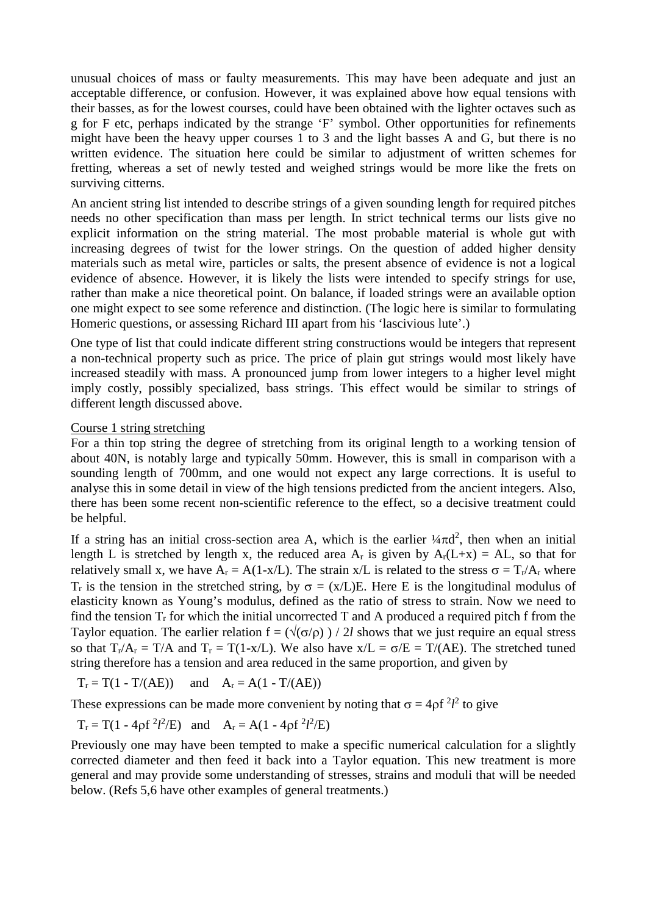unusual choices of mass or faulty measurements. This may have been adequate and just an acceptable difference, or confusion. However, it was explained above how equal tensions with their basses, as for the lowest courses, could have been obtained with the lighter octaves such as g for F etc, perhaps indicated by the strange 'F' symbol. Other opportunities for refinements might have been the heavy upper courses  $\overline{1}$  to 3 and the light basses A and G, but there is no written evidence. The situation here could be similar to adjustment of written schemes for fretting, whereas a set of newly tested and weighed strings would be more like the frets on surviving citterns.

An ancient string list intended to describe strings of a given sounding length for required pitches needs no other specification than mass per length. In strict technical terms our lists give no explicit information on the string material. The most probable material is whole gut with increasing degrees of twist for the lower strings. On the question of added higher density materials such as metal wire, particles or salts, the present absence of evidence is not a logical evidence of absence. However, it is likely the lists were intended to specify strings for use, rather than make a nice theoretical point. On balance, if loaded strings were an available option one might expect to see some reference and distinction. (The logic here is similar to formulating Homeric questions, or assessing Richard III apart from his 'lascivious lute'.)

One type of list that could indicate different string constructions would be integers that represent a non-technical property such as price. The price of plain gut strings would most likely have increased steadily with mass. A pronounced jump from lower integers to a higher level might imply costly, possibly specialized, bass strings. This effect would be similar to strings of different length discussed above.

#### Course 1 string stretching

For a thin top string the degree of stretching from its original length to a working tension of about 40N, is notably large and typically 50mm. However, this is small in comparison with a sounding length of 700mm, and one would not expect any large corrections. It is useful to analyse this in some detail in view of the high tensions predicted from the ancient integers. Also, there has been some recent non-scientific reference to the effect, so a decisive treatment could be helpful.

If a string has an initial cross-section area A, which is the earlier  $\frac{1}{4}\pi d^2$ , then when an initial length L is stretched by length x, the reduced area  $A_r$  is given by  $A_r(L+x) = AL$ , so that for relatively small x, we have  $A_r = A(1-x/L)$ . The strain x/L is related to the stress  $\sigma = T_r/A_r$  where T<sub>r</sub> is the tension in the stretched string, by  $\sigma = (x/L)E$ . Here E is the longitudinal modulus of elasticity known as Young's modulus, defined as the ratio of stress to strain. Now we need to find the tension  $T_r$  for which the initial uncorrected T and A produced a required pitch f from the Taylor equation. The earlier relation  $f = (\sqrt{\sigma/\rho})/2l$  shows that we just require an equal stress so that  $T_r/A_r = T/A$  and  $T_r = T(1-x/L)$ . We also have  $x/L = \sigma/E = T/(AE)$ . The stretched tuned string therefore has a tension and area reduced in the same proportion, and given by

$$
T_r = T(1 - T/(AE)) \quad \text{and} \quad A_r = A(1 - T/(AE))
$$

These expressions can be made more convenient by noting that  $\sigma = 4 \rho f^2 l^2$  to give

$$
T_r = T(1 - 4\rho f^2 l^2/E)
$$
 and  $A_r = A(1 - 4\rho f^2 l^2/E)$ 

Previously one may have been tempted to make a specific numerical calculation for a slightly corrected diameter and then feed it back into a Taylor equation. This new treatment is more general and may provide some understanding of stresses, strains and moduli that will be needed below. (Refs 5,6 have other examples of general treatments.)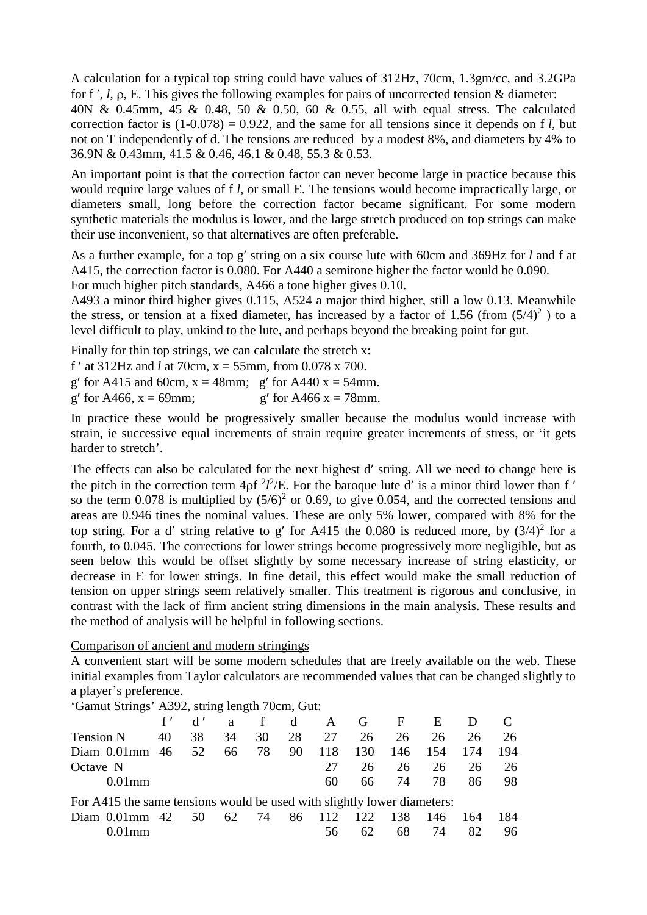A calculation for a typical top string could have values of 312Hz, 70cm, 1.3gm/cc, and 3.2GPa for f ′, *l*, ρ, E. This gives the following examples for pairs of uncorrected tension & diameter: 40N & 0.45mm, 45 & 0.48, 50 & 0.50, 60 & 0.55, all with equal stress. The calculated correction factor is  $(1-0.078) = 0.922$ , and the same for all tensions since it depends on f *l*, but not on T independently of d. The tensions are reduced by a modest 8%, and diameters by 4% to 36.9N & 0.43mm, 41.5 & 0.46, 46.1 & 0.48, 55.3 & 0.53.

An important point is that the correction factor can never become large in practice because this would require large values of f *l*, or small E. The tensions would become impractically large, or diameters small, long before the correction factor became significant. For some modern synthetic materials the modulus is lower, and the large stretch produced on top strings can make their use inconvenient, so that alternatives are often preferable.

As a further example, for a top g′ string on a six course lute with 60cm and 369Hz for *l* and f at A415, the correction factor is 0.080. For A440 a semitone higher the factor would be 0.090. For much higher pitch standards, A466 a tone higher gives 0.10.

A493 a minor third higher gives 0.115, A524 a major third higher, still a low 0.13. Meanwhile the stress, or tension at a fixed diameter, has increased by a factor of 1.56 (from  $(5/4)^2$ ) to a level difficult to play, unkind to the lute, and perhaps beyond the breaking point for gut.

Finally for thin top strings, we can calculate the stretch x:

f' at  $312$ Hz and *l* at 70cm,  $x = 55$ mm, from 0.078 x 700.

g' for A415 and 60cm,  $x = 48$ mm; g' for A440  $x = 54$ mm.

g' for A466,  $x = 69$ mm; g' for A466  $x = 78$ mm.

In practice these would be progressively smaller because the modulus would increase with strain, ie successive equal increments of strain require greater increments of stress, or 'it gets harder to stretch'.

The effects can also be calculated for the next highest d′ string. All we need to change here is the pitch in the correction term  $4pf^2l^2/E$ . For the baroque lute d' is a minor third lower than f' so the term 0.078 is multiplied by  $(5/6)^2$  or 0.69, to give 0.054, and the corrected tensions and areas are 0.946 tines the nominal values. These are only 5% lower, compared with 8% for the top string. For a d' string relative to g' for A415 the 0.080 is reduced more, by  $(3/4)^2$  for a fourth, to 0.045. The corrections for lower strings become progressively more negligible, but as seen below this would be offset slightly by some necessary increase of string elasticity, or decrease in E for lower strings. In fine detail, this effect would make the small reduction of tension on upper strings seem relatively smaller. This treatment is rigorous and conclusive, in contrast with the lack of firm ancient string dimensions in the main analysis. These results and the method of analysis will be helpful in following sections.

Comparison of ancient and modern stringings

A convenient start will be some modern schedules that are freely available on the web. These initial examples from Taylor calculators are recommended values that can be changed slightly to a player's preference.

'Gamut Strings' A392, string length 70cm, Gut:

|                                                                         | f' | d' | $a \sim$ | f  | $\mathbf d$ | A      | $\mathbf G$ | $\mathbf{F}$ | E   |     |     |
|-------------------------------------------------------------------------|----|----|----------|----|-------------|--------|-------------|--------------|-----|-----|-----|
| <b>Tension N</b>                                                        | 40 | 38 | 34       | 30 | 28          | 27     | 26          | 26           | 26  | 26  | 26  |
| Diam $0.01$ mm $46$                                                     |    | 52 | 66       | 78 | 90          | 118    | 130         | 146          | 154 | 174 | 194 |
| Octave N                                                                |    |    |          |    |             | 27     | 26          | 26           | 26  | 26  | 26  |
| $0.01$ mm                                                               |    |    |          |    |             | 60     | 66.         | 74           | 78  | 86  | 98  |
| For A415 the same tensions would be used with slightly lower diameters: |    |    |          |    |             |        |             |              |     |     |     |
| Diam $0.01$ mm 42                                                       |    | 50 | 62       | 74 |             | 86 112 | 122         | 138          | 146 | 164 | 184 |
|                                                                         |    |    |          |    |             | 56     |             | 68           | 74  |     | 96  |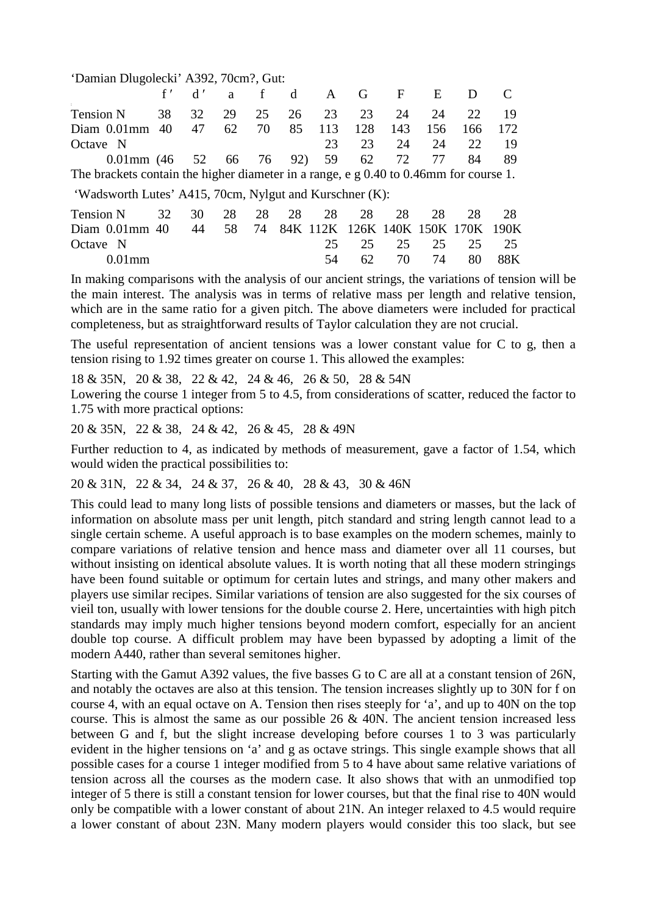| 'Damian Dlugolecki' A392, 70cm?, Gut: |  |  |  |
|---------------------------------------|--|--|--|
|---------------------------------------|--|--|--|

|                                                                                         | f'                                                      | d' | a  |    | d  | A   | G   | F   | E   | $\Box$                            |     |
|-----------------------------------------------------------------------------------------|---------------------------------------------------------|----|----|----|----|-----|-----|-----|-----|-----------------------------------|-----|
| $\sim$<br><b>Tension N</b>                                                              | 38                                                      | 32 | 29 | 25 | 26 | 23  | 23  | 24  | 24  | 22                                | 19  |
| Diam $0.01$ mm                                                                          | 40                                                      | 47 | 62 | 70 | 85 | 113 | 128 | 143 | 156 | 166                               | 172 |
| Octave N                                                                                |                                                         |    |    |    |    | 23  | 23  | 24  | 24  | 22                                | -19 |
| 0.01mm $(46 \t 52 \t 66 \t 76 \t 92)$                                                   |                                                         |    |    |    |    | 59  | 62  | 72  | 77  | 84                                | 89  |
| The brackets contain the higher diameter in a range, e $g$ 0.40 to 0.46mm for course 1. |                                                         |    |    |    |    |     |     |     |     |                                   |     |
|                                                                                         | 'Wadsworth Lutes' A415, 70cm, Nylgut and Kurschner (K): |    |    |    |    |     |     |     |     |                                   |     |
| <b>Tension N</b>                                                                        | 32                                                      | 30 | 28 | 28 | 28 | 28  | 28  | 28  | 28  | 28                                | 28  |
| Diam $0.01$ mm $40$                                                                     |                                                         | 44 | 58 | 74 |    |     |     |     |     | 84K 112K 126K 140K 150K 170K 190K |     |
| Octave N                                                                                |                                                         |    |    |    |    | 25  | 25  | 25  | 25  | 25                                | 25  |
| $0.01$ mm                                                                               |                                                         |    |    |    |    | 54  | 62  | 70  | 74  | 80                                | 88K |

In making comparisons with the analysis of our ancient strings, the variations of tension will be the main interest. The analysis was in terms of relative mass per length and relative tension, which are in the same ratio for a given pitch. The above diameters were included for practical completeness, but as straightforward results of Taylor calculation they are not crucial.

The useful representation of ancient tensions was a lower constant value for C to g, then a tension rising to 1.92 times greater on course 1. This allowed the examples:

18 & 35N, 20 & 38, 22 & 42, 24 & 46, 26 & 50, 28 & 54N Lowering the course 1 integer from 5 to 4.5, from considerations of scatter, reduced the factor to 1.75 with more practical options:

20 & 35N, 22 & 38, 24 & 42, 26 & 45, 28 & 49N

Further reduction to 4, as indicated by methods of measurement, gave a factor of 1.54, which would widen the practical possibilities to:

20 & 31N, 22 & 34, 24 & 37, 26 & 40, 28 & 43, 30 & 46N

This could lead to many long lists of possible tensions and diameters or masses, but the lack of information on absolute mass per unit length, pitch standard and string length cannot lead to a single certain scheme. A useful approach is to base examples on the modern schemes, mainly to compare variations of relative tension and hence mass and diameter over all 11 courses, but without insisting on identical absolute values. It is worth noting that all these modern stringings have been found suitable or optimum for certain lutes and strings, and many other makers and players use similar recipes. Similar variations of tension are also suggested for the six courses of vieil ton, usually with lower tensions for the double course 2. Here, uncertainties with high pitch standards may imply much higher tensions beyond modern comfort, especially for an ancient double top course. A difficult problem may have been bypassed by adopting a limit of the modern A440, rather than several semitones higher.

Starting with the Gamut A392 values, the five basses G to C are all at a constant tension of 26N, and notably the octaves are also at this tension. The tension increases slightly up to 30N for f on course 4, with an equal octave on A. Tension then rises steeply for 'a', and up to 40N on the top course. This is almost the same as our possible  $26 \& 40N$ . The ancient tension increased less between G and f, but the slight increase developing before courses 1 to 3 was particularly evident in the higher tensions on 'a' and g as octave strings. This single example shows that all possible cases for a course 1 integer modified from 5 to 4 have about same relative variations of tension across all the courses as the modern case. It also shows that with an unmodified top integer of 5 there is still a constant tension for lower courses, but that the final rise to 40N would only be compatible with a lower constant of about 21N. An integer relaxed to 4.5 would require a lower constant of about 23N. Many modern players would consider this too slack, but see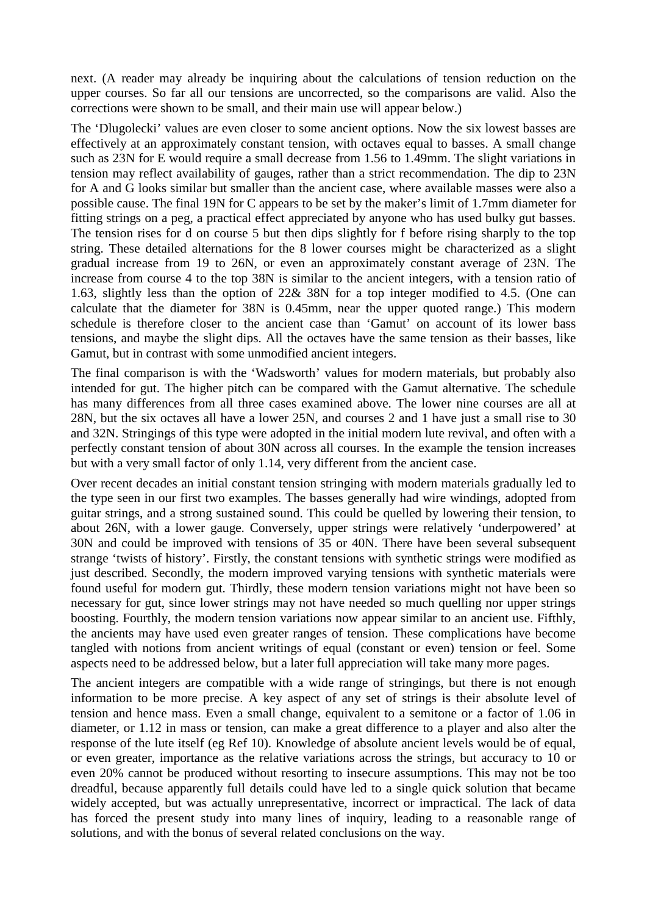next. (A reader may already be inquiring about the calculations of tension reduction on the upper courses. So far all our tensions are uncorrected, so the comparisons are valid. Also the corrections were shown to be small, and their main use will appear below.)

The 'Dlugolecki' values are even closer to some ancient options. Now the six lowest basses are effectively at an approximately constant tension, with octaves equal to basses. A small change such as 23N for E would require a small decrease from 1.56 to 1.49mm. The slight variations in tension may reflect availability of gauges, rather than a strict recommendation. The dip to 23N for A and G looks similar but smaller than the ancient case, where available masses were also a possible cause. The final 19N for C appears to be set by the maker's limit of 1.7mm diameter for fitting strings on a peg, a practical effect appreciated by anyone who has used bulky gut basses. The tension rises for d on course 5 but then dips slightly for f before rising sharply to the top string. These detailed alternations for the 8 lower courses might be characterized as a slight gradual increase from 19 to 26N, or even an approximately constant average of 23N. The increase from course 4 to the top 38N is similar to the ancient integers, with a tension ratio of 1.63, slightly less than the option of 22& 38N for a top integer modified to 4.5. (One can calculate that the diameter for 38N is 0.45mm, near the upper quoted range.) This modern schedule is therefore closer to the ancient case than 'Gamut' on account of its lower bass tensions, and maybe the slight dips. All the octaves have the same tension as their basses, like Gamut, but in contrast with some unmodified ancient integers.

The final comparison is with the 'Wadsworth' values for modern materials, but probably also intended for gut. The higher pitch can be compared with the Gamut alternative. The schedule has many differences from all three cases examined above. The lower nine courses are all at 28N, but the six octaves all have a lower 25N, and courses 2 and 1 have just a small rise to 30 and 32N. Stringings of this type were adopted in the initial modern lute revival, and often with a perfectly constant tension of about 30N across all courses. In the example the tension increases but with a very small factor of only 1.14, very different from the ancient case.

Over recent decades an initial constant tension stringing with modern materials gradually led to the type seen in our first two examples. The basses generally had wire windings, adopted from guitar strings, and a strong sustained sound. This could be quelled by lowering their tension, to about 26N, with a lower gauge. Conversely, upper strings were relatively 'underpowered' at 30N and could be improved with tensions of 35 or 40N. There have been several subsequent strange 'twists of history'. Firstly, the constant tensions with synthetic strings were modified as just described. Secondly, the modern improved varying tensions with synthetic materials were found useful for modern gut. Thirdly, these modern tension variations might not have been so necessary for gut, since lower strings may not have needed so much quelling nor upper strings boosting. Fourthly, the modern tension variations now appear similar to an ancient use. Fifthly, the ancients may have used even greater ranges of tension. These complications have become tangled with notions from ancient writings of equal (constant or even) tension or feel. Some aspects need to be addressed below, but a later full appreciation will take many more pages.

The ancient integers are compatible with a wide range of stringings, but there is not enough information to be more precise. A key aspect of any set of strings is their absolute level of tension and hence mass. Even a small change, equivalent to a semitone or a factor of 1.06 in diameter, or 1.12 in mass or tension, can make a great difference to a player and also alter the response of the lute itself (eg Ref 10). Knowledge of absolute ancient levels would be of equal, or even greater, importance as the relative variations across the strings, but accuracy to 10 or even 20% cannot be produced without resorting to insecure assumptions. This may not be too dreadful, because apparently full details could have led to a single quick solution that became widely accepted, but was actually unrepresentative, incorrect or impractical. The lack of data has forced the present study into many lines of inquiry, leading to a reasonable range of solutions, and with the bonus of several related conclusions on the way.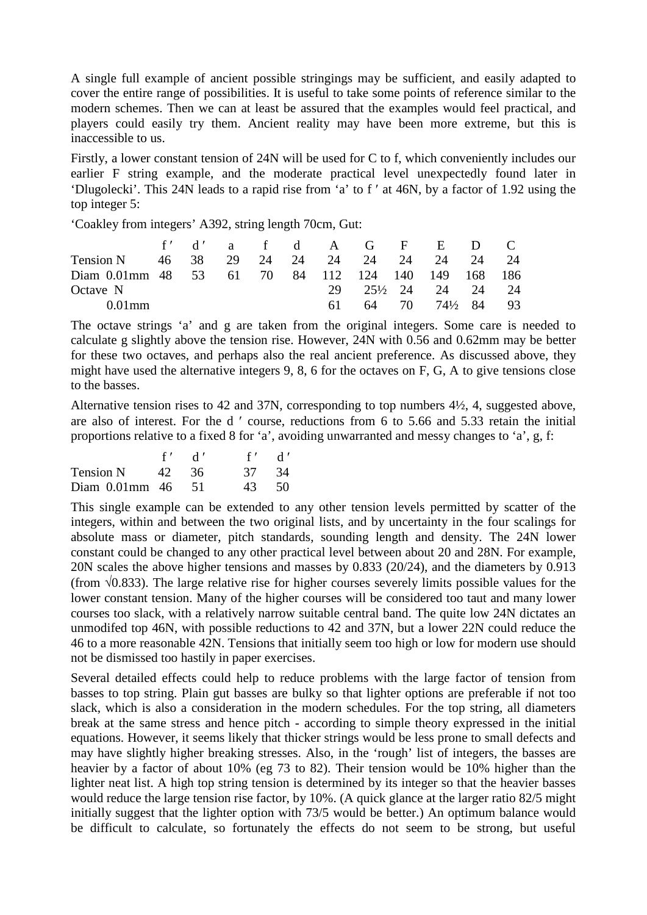A single full example of ancient possible stringings may be sufficient, and easily adapted to cover the entire range of possibilities. It is useful to take some points of reference similar to the modern schemes. Then we can at least be assured that the examples would feel practical, and players could easily try them. Ancient reality may have been more extreme, but this is inaccessible to us.

Firstly, a lower constant tension of 24N will be used for C to f, which conveniently includes our earlier F string example, and the moderate practical level unexpectedly found later in 'Dlugolecki'. This 24N leads to a rapid rise from 'a' to f ′ at 46N, by a factor of 1.92 using the top integer 5:

'Coakley from integers' A392, string length 70cm, Gut:

|                                                    |  |  |     |  | f'd'af d'AGF ED C                             |  |
|----------------------------------------------------|--|--|-----|--|-----------------------------------------------|--|
| Tension N 46 38 29 24 24 24 24 24 24 24 24         |  |  |     |  |                                               |  |
| Diam 0.01mm 48 53 61 70 84 112 124 140 149 168 186 |  |  |     |  |                                               |  |
| Octave N                                           |  |  |     |  | 29 25 <sup>1</sup> / <sub>2</sub> 24 24 24 24 |  |
| $0.01$ mm                                          |  |  | 61. |  | $64$ 70 $74\frac{1}{2}$ 84 93                 |  |

The octave strings 'a' and g are taken from the original integers. Some care is needed to calculate g slightly above the tension rise. However, 24N with 0.56 and 0.62mm may be better for these two octaves, and perhaps also the real ancient preference. As discussed above, they might have used the alternative integers 9, 8, 6 for the octaves on F, G, A to give tensions close to the basses.

Alternative tension rises to 42 and 37N, corresponding to top numbers 4½, 4, suggested above, are also of interest. For the d ′ course, reductions from 6 to 5.66 and 5.33 retain the initial proportions relative to a fixed 8 for 'a', avoiding unwarranted and messy changes to 'a', g, f:

|                   | $f'$ d' | $f'$ d' |      |
|-------------------|---------|---------|------|
| Tension N         | 42. 36  | 37 34   |      |
| Diam 0.01mm 46 51 |         | 43.     | - 50 |

This single example can be extended to any other tension levels permitted by scatter of the integers, within and between the two original lists, and by uncertainty in the four scalings for absolute mass or diameter, pitch standards, sounding length and density. The 24N lower constant could be changed to any other practical level between about 20 and 28N. For example, 20N scales the above higher tensions and masses by 0.833 (20/24), and the diameters by 0.913 (from  $\sqrt{0.833}$ ). The large relative rise for higher courses severely limits possible values for the lower constant tension. Many of the higher courses will be considered too taut and many lower courses too slack, with a relatively narrow suitable central band. The quite low 24N dictates an unmodifed top 46N, with possible reductions to 42 and 37N, but a lower 22N could reduce the 46 to a more reasonable 42N. Tensions that initially seem too high or low for modern use should not be dismissed too hastily in paper exercises.

Several detailed effects could help to reduce problems with the large factor of tension from basses to top string. Plain gut basses are bulky so that lighter options are preferable if not too slack, which is also a consideration in the modern schedules. For the top string, all diameters break at the same stress and hence pitch - according to simple theory expressed in the initial equations. However, it seems likely that thicker strings would be less prone to small defects and may have slightly higher breaking stresses. Also, in the 'rough' list of integers, the basses are heavier by a factor of about 10% (eg 73 to 82). Their tension would be 10% higher than the lighter neat list. A high top string tension is determined by its integer so that the heavier basses would reduce the large tension rise factor, by 10%. (A quick glance at the larger ratio 82/5 might initially suggest that the lighter option with 73/5 would be better.) An optimum balance would be difficult to calculate, so fortunately the effects do not seem to be strong, but useful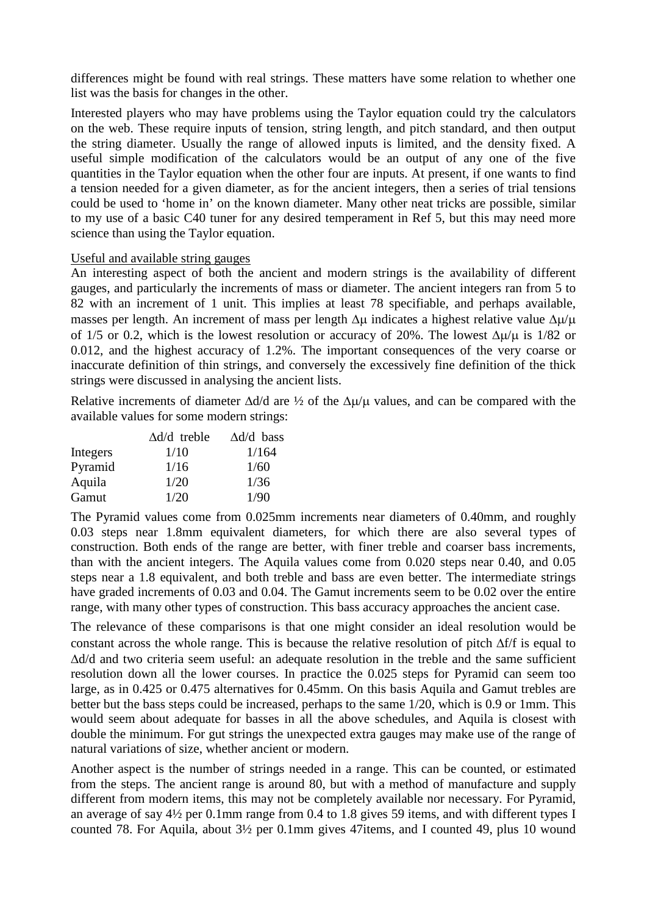differences might be found with real strings. These matters have some relation to whether one list was the basis for changes in the other.

Interested players who may have problems using the Taylor equation could try the calculators on the web. These require inputs of tension, string length, and pitch standard, and then output the string diameter. Usually the range of allowed inputs is limited, and the density fixed. A useful simple modification of the calculators would be an output of any one of the five quantities in the Taylor equation when the other four are inputs. At present, if one wants to find a tension needed for a given diameter, as for the ancient integers, then a series of trial tensions could be used to 'home in' on the known diameter. Many other neat tricks are possible, similar to my use of a basic C40 tuner for any desired temperament in Ref 5, but this may need more science than using the Taylor equation.

#### Useful and available string gauges

An interesting aspect of both the ancient and modern strings is the availability of different gauges, and particularly the increments of mass or diameter. The ancient integers ran from 5 to 82 with an increment of 1 unit. This implies at least 78 specifiable, and perhaps available, masses per length. An increment of mass per length Δμ indicates a highest relative value Δμ/μ of 1/5 or 0.2, which is the lowest resolution or accuracy of 20%. The lowest ∆µ/µ is 1/82 or 0.012, and the highest accuracy of 1.2%. The important consequences of the very coarse or inaccurate definition of thin strings, and conversely the excessively fine definition of the thick strings were discussed in analysing the ancient lists.

Relative increments of diameter  $\Delta d/d$  are ½ of the  $\Delta \mu/\mu$  values, and can be compared with the available values for some modern strings:

|          | $\Delta d/d$ treble | $\Delta d/d$ bass |
|----------|---------------------|-------------------|
| Integers | 1/10                | 1/164             |
| Pyramid  | 1/16                | 1/60              |
| Aquila   | 1/20                | 1/36              |
| Gamut    | 1/20                | 1/90              |

The Pyramid values come from 0.025mm increments near diameters of 0.40mm, and roughly 0.03 steps near 1.8mm equivalent diameters, for which there are also several types of construction. Both ends of the range are better, with finer treble and coarser bass increments, than with the ancient integers. The Aquila values come from 0.020 steps near 0.40, and 0.05 steps near a 1.8 equivalent, and both treble and bass are even better. The intermediate strings have graded increments of 0.03 and 0.04. The Gamut increments seem to be 0.02 over the entire range, with many other types of construction. This bass accuracy approaches the ancient case.

The relevance of these comparisons is that one might consider an ideal resolution would be constant across the whole range. This is because the relative resolution of pitch ∆f/f is equal to ∆d/d and two criteria seem useful: an adequate resolution in the treble and the same sufficient resolution down all the lower courses. In practice the 0.025 steps for Pyramid can seem too large, as in 0.425 or 0.475 alternatives for 0.45mm. On this basis Aquila and Gamut trebles are better but the bass steps could be increased, perhaps to the same 1/20, which is 0.9 or 1mm. This would seem about adequate for basses in all the above schedules, and Aquila is closest with double the minimum. For gut strings the unexpected extra gauges may make use of the range of natural variations of size, whether ancient or modern.

Another aspect is the number of strings needed in a range. This can be counted, or estimated from the steps. The ancient range is around 80, but with a method of manufacture and supply different from modern items, this may not be completely available nor necessary. For Pyramid, an average of say 4½ per 0.1mm range from 0.4 to 1.8 gives 59 items, and with different types I counted 78. For Aquila, about 3½ per 0.1mm gives 47items, and I counted 49, plus 10 wound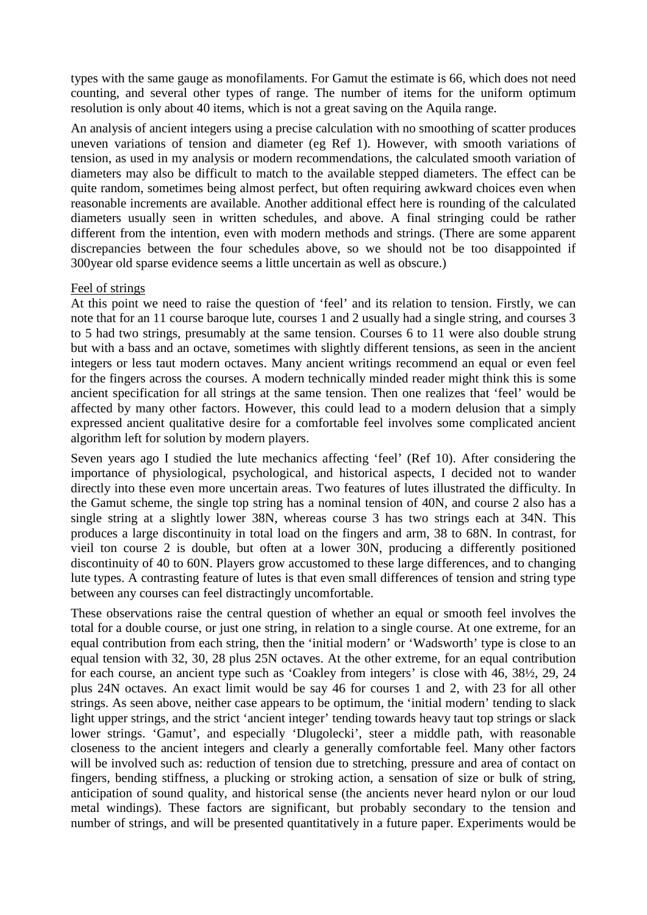types with the same gauge as monofilaments. For Gamut the estimate is 66, which does not need counting, and several other types of range. The number of items for the uniform optimum resolution is only about 40 items, which is not a great saving on the Aquila range.

An analysis of ancient integers using a precise calculation with no smoothing of scatter produces uneven variations of tension and diameter (eg Ref 1). However, with smooth variations of tension, as used in my analysis or modern recommendations, the calculated smooth variation of diameters may also be difficult to match to the available stepped diameters. The effect can be quite random, sometimes being almost perfect, but often requiring awkward choices even when reasonable increments are available. Another additional effect here is rounding of the calculated diameters usually seen in written schedules, and above. A final stringing could be rather different from the intention, even with modern methods and strings. (There are some apparent discrepancies between the four schedules above, so we should not be too disappointed if 300year old sparse evidence seems a little uncertain as well as obscure.)

# Feel of strings

At this point we need to raise the question of 'feel' and its relation to tension. Firstly, we can note that for an 11 course baroque lute, courses 1 and 2 usually had a single string, and courses 3 to 5 had two strings, presumably at the same tension. Courses 6 to 11 were also double strung but with a bass and an octave, sometimes with slightly different tensions, as seen in the ancient integers or less taut modern octaves. Many ancient writings recommend an equal or even feel for the fingers across the courses. A modern technically minded reader might think this is some ancient specification for all strings at the same tension. Then one realizes that 'feel' would be affected by many other factors. However, this could lead to a modern delusion that a simply expressed ancient qualitative desire for a comfortable feel involves some complicated ancient algorithm left for solution by modern players.

Seven years ago I studied the lute mechanics affecting 'feel' (Ref 10). After considering the importance of physiological, psychological, and historical aspects, I decided not to wander directly into these even more uncertain areas. Two features of lutes illustrated the difficulty. In the Gamut scheme, the single top string has a nominal tension of 40N, and course 2 also has a single string at a slightly lower 38N, whereas course 3 has two strings each at 34N. This produces a large discontinuity in total load on the fingers and arm, 38 to 68N. In contrast, for vieil ton course 2 is double, but often at a lower 30N, producing a differently positioned discontinuity of 40 to 60N. Players grow accustomed to these large differences, and to changing lute types. A contrasting feature of lutes is that even small differences of tension and string type between any courses can feel distractingly uncomfortable.

These observations raise the central question of whether an equal or smooth feel involves the total for a double course, or just one string, in relation to a single course. At one extreme, for an equal contribution from each string, then the 'initial modern' or 'Wadsworth' type is close to an equal tension with 32, 30, 28 plus 25N octaves. At the other extreme, for an equal contribution for each course, an ancient type such as 'Coakley from integers' is close with 46, 38½, 29, 24 plus 24N octaves. An exact limit would be say 46 for courses 1 and 2, with 23 for all other strings. As seen above, neither case appears to be optimum, the 'initial modern' tending to slack light upper strings, and the strict 'ancient integer' tending towards heavy taut top strings or slack lower strings. 'Gamut', and especially 'Dlugolecki', steer a middle path, with reasonable closeness to the ancient integers and clearly a generally comfortable feel. Many other factors will be involved such as: reduction of tension due to stretching, pressure and area of contact on fingers, bending stiffness, a plucking or stroking action, a sensation of size or bulk of string, anticipation of sound quality, and historical sense (the ancients never heard nylon or our loud metal windings). These factors are significant, but probably secondary to the tension and number of strings, and will be presented quantitatively in a future paper. Experiments would be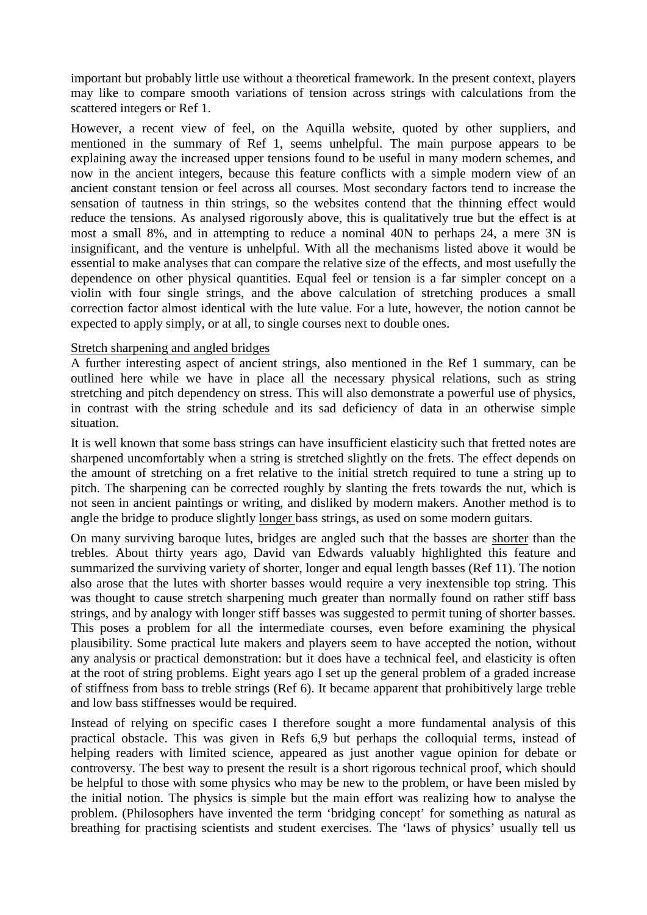important but probably little use without a theoretical framework. In the present context, players may like to compare smooth variations of tension across strings with calculations from the scattered integers or Ref 1.

However, a recent view of feel, on the Aquilla website, quoted by other suppliers, and mentioned in the summary of Ref 1, seems unhelpful. The main purpose appears to be explaining away the increased upper tensions found to be useful in many modern schemes, and now in the ancient integers, because this feature conflicts with a simple modern view of an ancient constant tension or feel across all courses. Most secondary factors tend to increase the sensation of tautness in thin strings, so the websites contend that the thinning effect would reduce the tensions. As analysed rigorously above, this is qualitatively true but the effect is at most a small 8%, and in attempting to reduce a nominal 40N to perhaps 24, a mere 3N is insignificant, and the venture is unhelpful. With all the mechanisms listed above it would be essential to make analyses that can compare the relative size of the effects, and most usefully the dependence on other physical quantities. Equal feel or tension is a far simpler concept on a violin with four single strings, and the above calculation of stretching produces a small correction factor almost identical with the lute value. For a lute, however, the notion cannot be expected to apply simply, or at all, to single courses next to double ones.

#### Stretch sharpening and angled bridges

A further interesting aspect of ancient strings, also mentioned in the Ref 1 summary, can be outlined here while we have in place all the necessary physical relations, such as string stretching and pitch dependency on stress. This will also demonstrate a powerful use of physics, in contrast with the string schedule and its sad deficiency of data in an otherwise simple situation.

It is well known that some bass strings can have insufficient elasticity such that fretted notes are sharpened uncomfortably when a string is stretched slightly on the frets. The effect depends on the amount of stretching on a fret relative to the initial stretch required to tune a string up to pitch. The sharpening can be corrected roughly by slanting the frets towards the nut, which is not seen in ancient paintings or writing, and disliked by modern makers. Another method is to angle the bridge to produce slightly longer bass strings, as used on some modern guitars.

On many surviving baroque lutes, bridges are angled such that the basses are shorter than the trebles. About thirty years ago, David van Edwards valuably highlighted this feature and summarized the surviving variety of shorter, longer and equal length basses (Ref 11). The notion also arose that the lutes with shorter basses would require a very inextensible top string. This was thought to cause stretch sharpening much greater than normally found on rather stiff bass strings, and by analogy with longer stiff basses was suggested to permit tuning of shorter basses. This poses a problem for all the intermediate courses, even before examining the physical plausibility. Some practical lute makers and players seem to have accepted the notion, without any analysis or practical demonstration: but it does have a technical feel, and elasticity is often at the root of string problems. Eight years ago I set up the general problem of a graded increase of stiffness from bass to treble strings (Ref 6). It became apparent that prohibitively large treble and low bass stiffnesses would be required.

Instead of relying on specific cases I therefore sought a more fundamental analysis of this practical obstacle. This was given in Refs 6,9 but perhaps the colloquial terms, instead of helping readers with limited science, appeared as just another vague opinion for debate or controversy. The best way to present the result is a short rigorous technical proof, which should be helpful to those with some physics who may be new to the problem, or have been misled by the initial notion. The physics is simple but the main effort was realizing how to analyse the problem. (Philosophers have invented the term 'bridging concept' for something as natural as breathing for practising scientists and student exercises. The 'laws of physics' usually tell us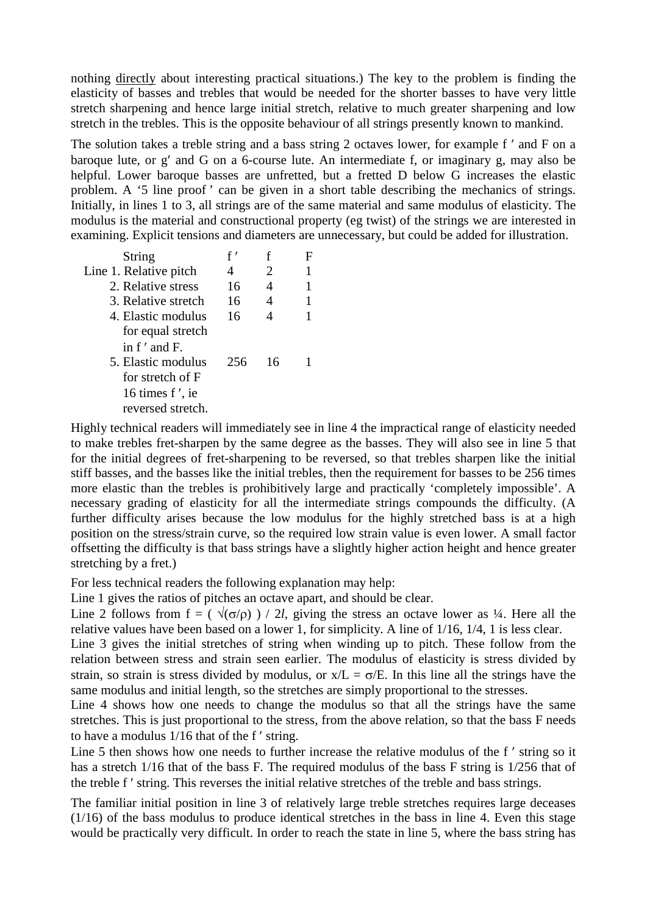nothing directly about interesting practical situations.) The key to the problem is finding the elasticity of basses and trebles that would be needed for the shorter basses to have very little stretch sharpening and hence large initial stretch, relative to much greater sharpening and low stretch in the trebles. This is the opposite behaviour of all strings presently known to mankind.

The solution takes a treble string and a bass string 2 octaves lower, for example f  $'$  and F on a baroque lute, or g′ and G on a 6-course lute. An intermediate f, or imaginary g, may also be helpful. Lower baroque basses are unfretted, but a fretted D below G increases the elastic problem. A '5 line proof' can be given in a short table describing the mechanics of strings. Initially, in lines 1 to 3, all strings are of the same material and same modulus of elasticity. The modulus is the material and constructional property (eg twist) of the strings we are interested in examining. Explicit tensions and diameters are unnecessary, but could be added for illustration.

| String                 | f'  |     |  |
|------------------------|-----|-----|--|
| Line 1. Relative pitch | 4   | 2   |  |
| 2. Relative stress     | 16  | 4   |  |
| 3. Relative stretch    | 16  | 4   |  |
| 4. Elastic modulus     | 16  |     |  |
| for equal stretch      |     |     |  |
| in f' and F.           |     |     |  |
| 5. Elastic modulus     | 256 | -16 |  |
| for stretch of F       |     |     |  |
| 16 times f', ie        |     |     |  |
| reversed stretch.      |     |     |  |
|                        |     |     |  |

Highly technical readers will immediately see in line 4 the impractical range of elasticity needed to make trebles fret-sharpen by the same degree as the basses. They will also see in line 5 that for the initial degrees of fret-sharpening to be reversed, so that trebles sharpen like the initial stiff basses, and the basses like the initial trebles, then the requirement for basses to be 256 times more elastic than the trebles is prohibitively large and practically 'completely impossible'. A necessary grading of elasticity for all the intermediate strings compounds the difficulty. (A further difficulty arises because the low modulus for the highly stretched bass is at a high position on the stress/strain curve, so the required low strain value is even lower. A small factor offsetting the difficulty is that bass strings have a slightly higher action height and hence greater stretching by a fret.)

For less technical readers the following explanation may help:

Line 1 gives the ratios of pitches an octave apart, and should be clear.

Line 2 follows from  $f = (\sqrt{\sigma/\rho}) / 2l$ , giving the stress an octave lower as ¼. Here all the relative values have been based on a lower 1, for simplicity. A line of 1/16, 1/4, 1 is less clear.

Line 3 gives the initial stretches of string when winding up to pitch. These follow from the relation between stress and strain seen earlier. The modulus of elasticity is stress divided by strain, so strain is stress divided by modulus, or  $x/L = \sigma/E$ . In this line all the strings have the same modulus and initial length, so the stretches are simply proportional to the stresses.

Line 4 shows how one needs to change the modulus so that all the strings have the same stretches. This is just proportional to the stress, from the above relation, so that the bass F needs to have a modulus 1/16 that of the f ′ string.

Line 5 then shows how one needs to further increase the relative modulus of the f ′ string so it has a stretch 1/16 that of the bass F. The required modulus of the bass F string is 1/256 that of the treble f ′ string. This reverses the initial relative stretches of the treble and bass strings.

The familiar initial position in line 3 of relatively large treble stretches requires large deceases (1/16) of the bass modulus to produce identical stretches in the bass in line 4. Even this stage would be practically very difficult. In order to reach the state in line 5, where the bass string has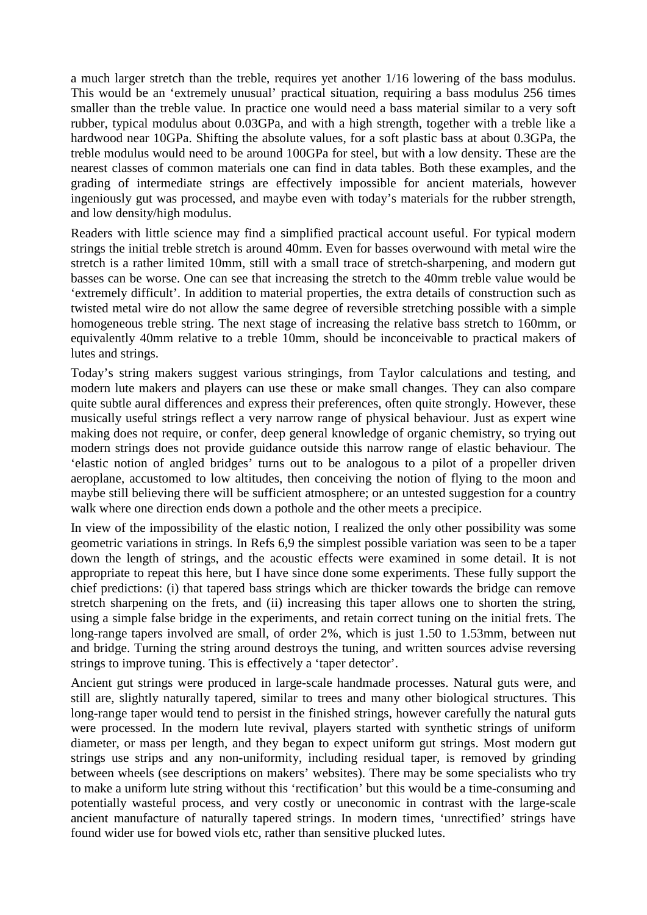a much larger stretch than the treble, requires yet another 1/16 lowering of the bass modulus. This would be an 'extremely unusual' practical situation, requiring a bass modulus 256 times smaller than the treble value. In practice one would need a bass material similar to a very soft rubber, typical modulus about 0.03GPa, and with a high strength, together with a treble like a hardwood near 10GPa. Shifting the absolute values, for a soft plastic bass at about 0.3GPa, the treble modulus would need to be around 100GPa for steel, but with a low density. These are the nearest classes of common materials one can find in data tables. Both these examples, and the grading of intermediate strings are effectively impossible for ancient materials, however ingeniously gut was processed, and maybe even with today's materials for the rubber strength, and low density/high modulus.

Readers with little science may find a simplified practical account useful. For typical modern strings the initial treble stretch is around 40mm. Even for basses overwound with metal wire the stretch is a rather limited 10mm, still with a small trace of stretch-sharpening, and modern gut basses can be worse. One can see that increasing the stretch to the 40mm treble value would be 'extremely difficult'. In addition to material properties, the extra details of construction such as twisted metal wire do not allow the same degree of reversible stretching possible with a simple homogeneous treble string. The next stage of increasing the relative bass stretch to 160mm, or equivalently 40mm relative to a treble 10mm, should be inconceivable to practical makers of lutes and strings.

Today's string makers suggest various stringings, from Taylor calculations and testing, and modern lute makers and players can use these or make small changes. They can also compare quite subtle aural differences and express their preferences, often quite strongly. However, these musically useful strings reflect a very narrow range of physical behaviour. Just as expert wine making does not require, or confer, deep general knowledge of organic chemistry, so trying out modern strings does not provide guidance outside this narrow range of elastic behaviour. The 'elastic notion of angled bridges' turns out to be analogous to a pilot of a propeller driven aeroplane, accustomed to low altitudes, then conceiving the notion of flying to the moon and maybe still believing there will be sufficient atmosphere; or an untested suggestion for a country walk where one direction ends down a pothole and the other meets a precipice.

In view of the impossibility of the elastic notion, I realized the only other possibility was some geometric variations in strings. In Refs 6,9 the simplest possible variation was seen to be a taper down the length of strings, and the acoustic effects were examined in some detail. It is not appropriate to repeat this here, but I have since done some experiments. These fully support the chief predictions: (i) that tapered bass strings which are thicker towards the bridge can remove stretch sharpening on the frets, and (ii) increasing this taper allows one to shorten the string, using a simple false bridge in the experiments, and retain correct tuning on the initial frets. The long-range tapers involved are small, of order 2%, which is just 1.50 to 1.53mm, between nut and bridge. Turning the string around destroys the tuning, and written sources advise reversing strings to improve tuning. This is effectively a 'taper detector'.

Ancient gut strings were produced in large-scale handmade processes. Natural guts were, and still are, slightly naturally tapered, similar to trees and many other biological structures. This long-range taper would tend to persist in the finished strings, however carefully the natural guts were processed. In the modern lute revival, players started with synthetic strings of uniform diameter, or mass per length, and they began to expect uniform gut strings. Most modern gut strings use strips and any non-uniformity, including residual taper, is removed by grinding between wheels (see descriptions on makers' websites). There may be some specialists who try to make a uniform lute string without this 'rectification' but this would be a time-consuming and potentially wasteful process, and very costly or uneconomic in contrast with the large-scale ancient manufacture of naturally tapered strings. In modern times, 'unrectified' strings have found wider use for bowed viols etc, rather than sensitive plucked lutes.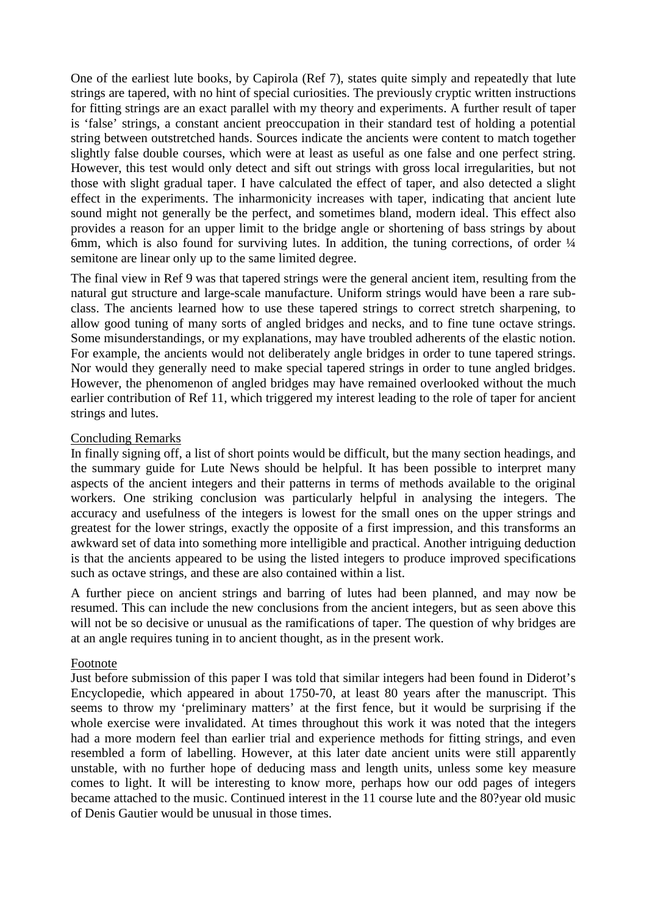One of the earliest lute books, by Capirola (Ref 7), states quite simply and repeatedly that lute strings are tapered, with no hint of special curiosities. The previously cryptic written instructions for fitting strings are an exact parallel with my theory and experiments. A further result of taper is 'false' strings, a constant ancient preoccupation in their standard test of holding a potential string between outstretched hands. Sources indicate the ancients were content to match together slightly false double courses, which were at least as useful as one false and one perfect string. However, this test would only detect and sift out strings with gross local irregularities, but not those with slight gradual taper. I have calculated the effect of taper, and also detected a slight effect in the experiments. The inharmonicity increases with taper, indicating that ancient lute sound might not generally be the perfect, and sometimes bland, modern ideal. This effect also provides a reason for an upper limit to the bridge angle or shortening of bass strings by about 6mm, which is also found for surviving lutes. In addition, the tuning corrections, of order  $\frac{1}{4}$ semitone are linear only up to the same limited degree.

The final view in Ref 9 was that tapered strings were the general ancient item, resulting from the natural gut structure and large-scale manufacture. Uniform strings would have been a rare subclass. The ancients learned how to use these tapered strings to correct stretch sharpening, to allow good tuning of many sorts of angled bridges and necks, and to fine tune octave strings. Some misunderstandings, or my explanations, may have troubled adherents of the elastic notion. For example, the ancients would not deliberately angle bridges in order to tune tapered strings. Nor would they generally need to make special tapered strings in order to tune angled bridges. However, the phenomenon of angled bridges may have remained overlooked without the much earlier contribution of Ref 11, which triggered my interest leading to the role of taper for ancient strings and lutes.

#### Concluding Remarks

In finally signing off, a list of short points would be difficult, but the many section headings, and the summary guide for Lute News should be helpful. It has been possible to interpret many aspects of the ancient integers and their patterns in terms of methods available to the original workers. One striking conclusion was particularly helpful in analysing the integers. The accuracy and usefulness of the integers is lowest for the small ones on the upper strings and greatest for the lower strings, exactly the opposite of a first impression, and this transforms an awkward set of data into something more intelligible and practical. Another intriguing deduction is that the ancients appeared to be using the listed integers to produce improved specifications such as octave strings, and these are also contained within a list.

A further piece on ancient strings and barring of lutes had been planned, and may now be resumed. This can include the new conclusions from the ancient integers, but as seen above this will not be so decisive or unusual as the ramifications of taper. The question of why bridges are at an angle requires tuning in to ancient thought, as in the present work.

#### Footnote

Just before submission of this paper I was told that similar integers had been found in Diderot's Encyclopedie, which appeared in about 1750-70, at least 80 years after the manuscript. This seems to throw my 'preliminary matters' at the first fence, but it would be surprising if the whole exercise were invalidated. At times throughout this work it was noted that the integers had a more modern feel than earlier trial and experience methods for fitting strings, and even resembled a form of labelling. However, at this later date ancient units were still apparently unstable, with no further hope of deducing mass and length units, unless some key measure comes to light. It will be interesting to know more, perhaps how our odd pages of integers became attached to the music. Continued interest in the 11 course lute and the 80?year old music of Denis Gautier would be unusual in those times.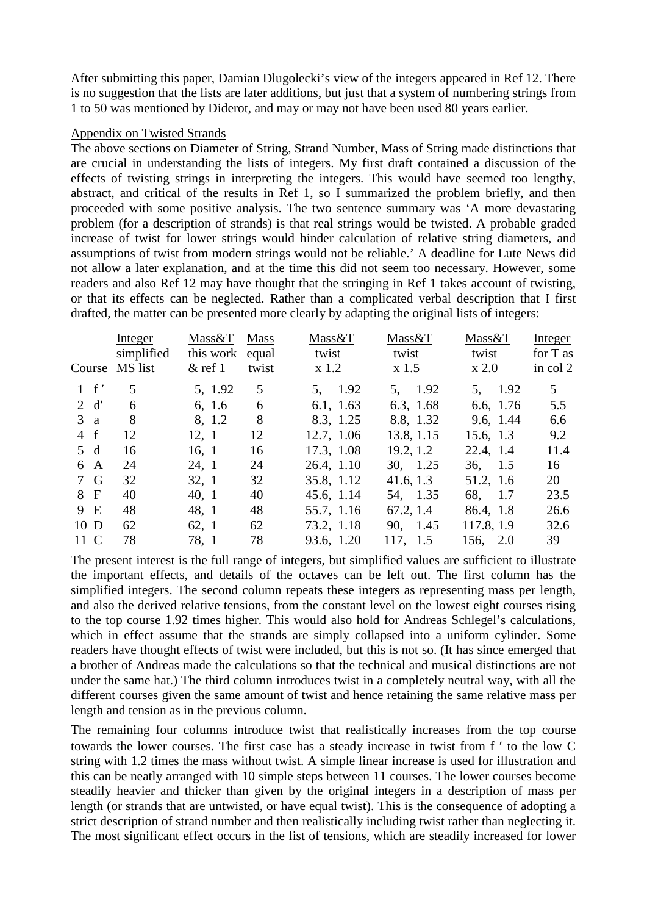After submitting this paper, Damian Dlugolecki's view of the integers appeared in Ref 12. There is no suggestion that the lists are later additions, but just that a system of numbering strings from 1 to 50 was mentioned by Diderot, and may or may not have been used 80 years earlier.

#### Appendix on Twisted Strands

The above sections on Diameter of String, Strand Number, Mass of String made distinctions that are crucial in understanding the lists of integers. My first draft contained a discussion of the effects of twisting strings in interpreting the integers. This would have seemed too lengthy, abstract, and critical of the results in Ref 1, so I summarized the problem briefly, and then proceeded with some positive analysis. The two sentence summary was 'A more devastating problem (for a description of strands) is that real strings would be twisted. A probable graded increase of twist for lower strings would hinder calculation of relative string diameters, and assumptions of twist from modern strings would not be reliable.' A deadline for Lute News did not allow a later explanation, and at the time this did not seem too necessary. However, some readers and also Ref 12 may have thought that the stringing in Ref 1 takes account of twisting, or that its effects can be neglected. Rather than a complicated verbal description that I first drafted, the matter can be presented more clearly by adapting the original lists of integers:

|                | Integer<br>simplified<br>Course MS list | Mass&T<br>this work equal<br>$&$ ref 1 | <b>Mass</b><br>twist | Mass&T<br>twist<br>$x$ 1.2 | Mass&T<br>twist<br>$x$ 1.5 | Mass&T<br>twist<br>$\boldsymbol{\mathrm{x}}$ 2.0 | Integer<br>for T as<br>in col 2 |
|----------------|-----------------------------------------|----------------------------------------|----------------------|----------------------------|----------------------------|--------------------------------------------------|---------------------------------|
| $1 \text{ f}'$ | 5                                       | 5, 1.92                                | 5                    | 5, 1.92                    | 5, 1.92                    | 5, 1.92                                          | $5^{\circ}$                     |
| 2 d'           | 6                                       | 6, 1.6                                 | 6                    | 6.1, 1.63                  | 6.3, 1.68                  | 6.6, 1.76                                        | 5.5                             |
| 3a             | 8                                       | 8, 1.2                                 | 8                    | 8.3, 1.25                  | 8.8, 1.32                  | 9.6, 1.44                                        | 6.6                             |
| $4 \text{ f}$  | 12                                      | 12, 1                                  | 12                   | 12.7, 1.06                 | 13.8, 1.15                 | 15.6, 1.3                                        | 9.2                             |
| 5d             | 16                                      | 16, 1                                  | 16                   | 17.3, 1.08                 | 19.2, 1.2                  | 22.4, 1.4                                        | 11.4                            |
| 6 A            | 24                                      | 24, 1                                  | 24                   | 26.4, 1.10                 | 30, 1.25                   | 36, 1.5                                          | 16                              |
| 7 G            | 32                                      | 32, 1                                  | 32                   | 35.8, 1.12                 | 41.6, 1.3                  | 51.2, 1.6                                        | 20                              |
| 8 F            | 40                                      | 40, 1                                  | 40                   | 45.6, 1.14                 | 54, 1.35                   | 68, 1.7                                          | 23.5                            |
| 9 E            | 48                                      | 48.1                                   | 48                   | 55.7, 1.16                 | 67.2, 1.4                  | 86.4, 1.8                                        | 26.6                            |
| $10\text{ D}$  | 62                                      | 62, 1                                  | 62                   | 73.2, 1.18                 | 90, 1.45                   | 117.8, 1.9                                       | 32.6                            |
| 11 C           | 78                                      | 78.1                                   | 78                   | 93.6, 1.20                 | 117, 1.5                   | 156, 2.0                                         | 39                              |

The present interest is the full range of integers, but simplified values are sufficient to illustrate the important effects, and details of the octaves can be left out. The first column has the simplified integers. The second column repeats these integers as representing mass per length, and also the derived relative tensions, from the constant level on the lowest eight courses rising to the top course 1.92 times higher. This would also hold for Andreas Schlegel's calculations, which in effect assume that the strands are simply collapsed into a uniform cylinder. Some readers have thought effects of twist were included, but this is not so. (It has since emerged that a brother of Andreas made the calculations so that the technical and musical distinctions are not under the same hat.) The third column introduces twist in a completely neutral way, with all the different courses given the same amount of twist and hence retaining the same relative mass per length and tension as in the previous column.

The remaining four columns introduce twist that realistically increases from the top course towards the lower courses. The first case has a steady increase in twist from f ′ to the low C string with 1.2 times the mass without twist. A simple linear increase is used for illustration and this can be neatly arranged with 10 simple steps between 11 courses. The lower courses become steadily heavier and thicker than given by the original integers in a description of mass per length (or strands that are untwisted, or have equal twist). This is the consequence of adopting a strict description of strand number and then realistically including twist rather than neglecting it. The most significant effect occurs in the list of tensions, which are steadily increased for lower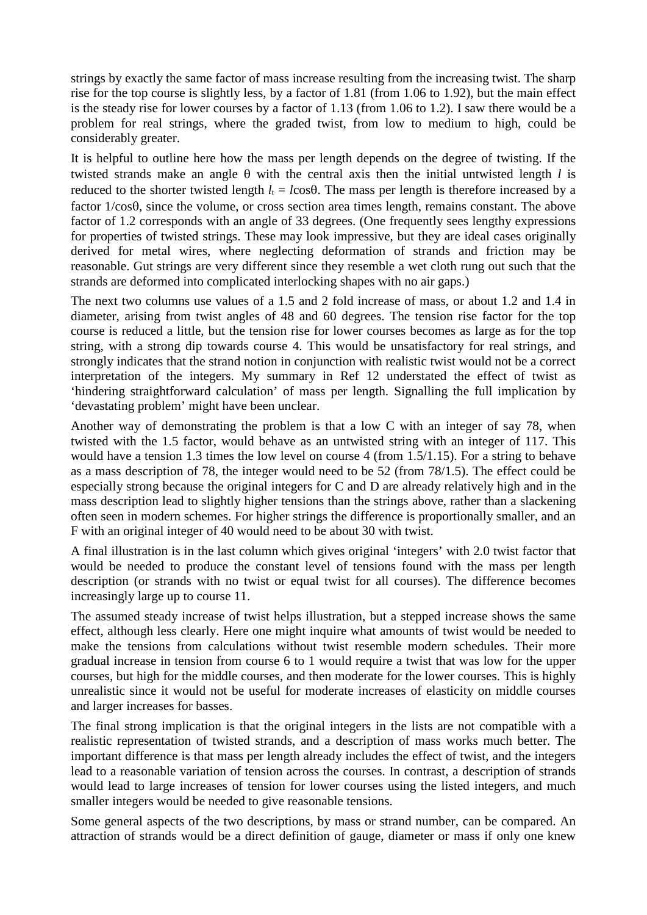strings by exactly the same factor of mass increase resulting from the increasing twist. The sharp rise for the top course is slightly less, by a factor of 1.81 (from 1.06 to 1.92), but the main effect is the steady rise for lower courses by a factor of 1.13 (from 1.06 to 1.2). I saw there would be a problem for real strings, where the graded twist, from low to medium to high, could be considerably greater.

It is helpful to outline here how the mass per length depends on the degree of twisting. If the twisted strands make an angle θ with the central axis then the initial untwisted length *l* is reduced to the shorter twisted length  $l_t = l \cos\theta$ . The mass per length is therefore increased by a factor 1/cosθ, since the volume, or cross section area times length, remains constant. The above factor of 1.2 corresponds with an angle of 33 degrees. (One frequently sees lengthy expressions for properties of twisted strings. These may look impressive, but they are ideal cases originally derived for metal wires, where neglecting deformation of strands and friction may be reasonable. Gut strings are very different since they resemble a wet cloth rung out such that the strands are deformed into complicated interlocking shapes with no air gaps.)

The next two columns use values of a 1.5 and 2 fold increase of mass, or about 1.2 and 1.4 in diameter, arising from twist angles of 48 and 60 degrees. The tension rise factor for the top course is reduced a little, but the tension rise for lower courses becomes as large as for the top string, with a strong dip towards course 4. This would be unsatisfactory for real strings, and strongly indicates that the strand notion in conjunction with realistic twist would not be a correct interpretation of the integers. My summary in Ref 12 understated the effect of twist as 'hindering straightforward calculation' of mass per length. Signalling the full implication by 'devastating problem' might have been unclear.

Another way of demonstrating the problem is that a low C with an integer of say 78, when twisted with the 1.5 factor, would behave as an untwisted string with an integer of 117. This would have a tension 1.3 times the low level on course 4 (from 1.5/1.15). For a string to behave as a mass description of 78, the integer would need to be 52 (from 78/1.5). The effect could be especially strong because the original integers for C and D are already relatively high and in the mass description lead to slightly higher tensions than the strings above, rather than a slackening often seen in modern schemes. For higher strings the difference is proportionally smaller, and an F with an original integer of 40 would need to be about 30 with twist.

A final illustration is in the last column which gives original 'integers' with 2.0 twist factor that would be needed to produce the constant level of tensions found with the mass per length description (or strands with no twist or equal twist for all courses). The difference becomes increasingly large up to course 11.

The assumed steady increase of twist helps illustration, but a stepped increase shows the same effect, although less clearly. Here one might inquire what amounts of twist would be needed to make the tensions from calculations without twist resemble modern schedules. Their more gradual increase in tension from course 6 to 1 would require a twist that was low for the upper courses, but high for the middle courses, and then moderate for the lower courses. This is highly unrealistic since it would not be useful for moderate increases of elasticity on middle courses and larger increases for basses.

The final strong implication is that the original integers in the lists are not compatible with a realistic representation of twisted strands, and a description of mass works much better. The important difference is that mass per length already includes the effect of twist, and the integers lead to a reasonable variation of tension across the courses. In contrast, a description of strands would lead to large increases of tension for lower courses using the listed integers, and much smaller integers would be needed to give reasonable tensions.

Some general aspects of the two descriptions, by mass or strand number, can be compared. An attraction of strands would be a direct definition of gauge, diameter or mass if only one knew